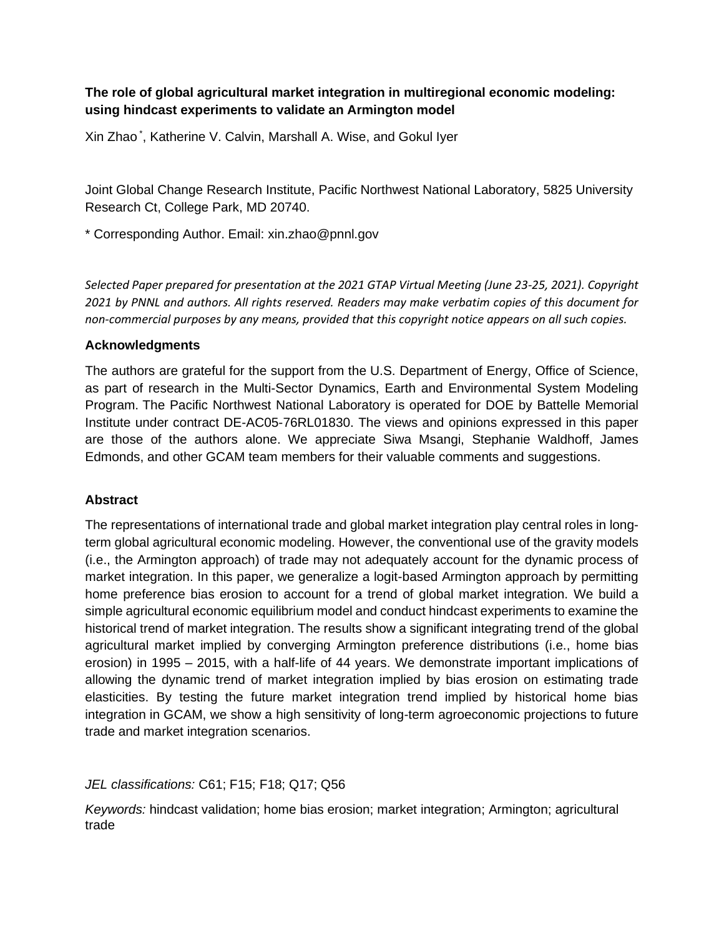# **The role of global agricultural market integration in multiregional economic modeling: using hindcast experiments to validate an Armington model**

Xin Zhao \* , Katherine V. Calvin, Marshall A. Wise, and Gokul Iyer

Joint Global Change Research Institute, Pacific Northwest National Laboratory, 5825 University Research Ct, College Park, MD 20740.

\* Corresponding Author. Email: xin.zhao@pnnl.gov

*Selected Paper prepared for presentation at the 2021 GTAP Virtual Meeting (June 23-25, 2021). Copyright 2021 by PNNL and authors. All rights reserved. Readers may make verbatim copies of this document for non-commercial purposes by any means, provided that this copyright notice appears on all such copies.* 

## **Acknowledgments**

The authors are grateful for the support from the U.S. Department of Energy, Office of Science, as part of research in the Multi-Sector Dynamics, Earth and Environmental System Modeling Program. The Pacific Northwest National Laboratory is operated for DOE by Battelle Memorial Institute under contract DE-AC05-76RL01830. The views and opinions expressed in this paper are those of the authors alone. We appreciate Siwa Msangi, Stephanie Waldhoff, James Edmonds, and other GCAM team members for their valuable comments and suggestions.

## **Abstract**

The representations of international trade and global market integration play central roles in longterm global agricultural economic modeling. However, the conventional use of the gravity models (i.e., the Armington approach) of trade may not adequately account for the dynamic process of market integration. In this paper, we generalize a logit-based Armington approach by permitting home preference bias erosion to account for a trend of global market integration. We build a simple agricultural economic equilibrium model and conduct hindcast experiments to examine the historical trend of market integration. The results show a significant integrating trend of the global agricultural market implied by converging Armington preference distributions (i.e., home bias erosion) in 1995 – 2015, with a half-life of 44 years. We demonstrate important implications of allowing the dynamic trend of market integration implied by bias erosion on estimating trade elasticities. By testing the future market integration trend implied by historical home bias integration in GCAM, we show a high sensitivity of long-term agroeconomic projections to future trade and market integration scenarios.

## *JEL classifications:* C61; F15; F18; Q17; Q56

*Keywords:* hindcast validation; home bias erosion; market integration; Armington; agricultural trade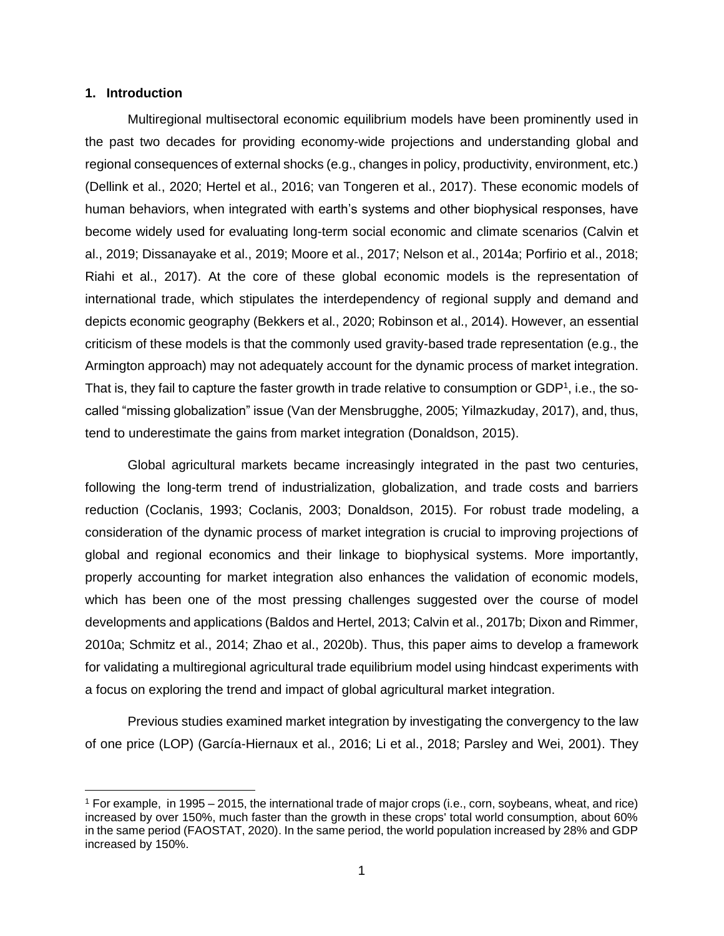#### **1. Introduction**

Multiregional multisectoral economic equilibrium models have been prominently used in the past two decades for providing economy-wide projections and understanding global and regional consequences of external shocks (e.g., changes in policy, productivity, environment, etc.) (Dellink et al., 2020; Hertel et al., 2016; van Tongeren et al., 2017). These economic models of human behaviors, when integrated with earth's systems and other biophysical responses, have become widely used for evaluating long-term social economic and climate scenarios (Calvin et al., 2019; Dissanayake et al., 2019; Moore et al., 2017; Nelson et al., 2014a; Porfirio et al., 2018; Riahi et al., 2017). At the core of these global economic models is the representation of international trade, which stipulates the interdependency of regional supply and demand and depicts economic geography (Bekkers et al., 2020; Robinson et al., 2014). However, an essential criticism of these models is that the commonly used gravity-based trade representation (e.g., the Armington approach) may not adequately account for the dynamic process of market integration. That is, they fail to capture the faster growth in trade relative to consumption or GDP<sup>1</sup>, i.e., the socalled "missing globalization" issue (Van der Mensbrugghe, 2005; Yilmazkuday, 2017), and, thus, tend to underestimate the gains from market integration (Donaldson, 2015).

Global agricultural markets became increasingly integrated in the past two centuries, following the long-term trend of industrialization, globalization, and trade costs and barriers reduction (Coclanis, 1993; Coclanis, 2003; Donaldson, 2015). For robust trade modeling, a consideration of the dynamic process of market integration is crucial to improving projections of global and regional economics and their linkage to biophysical systems. More importantly, properly accounting for market integration also enhances the validation of economic models, which has been one of the most pressing challenges suggested over the course of model developments and applications (Baldos and Hertel, 2013; Calvin et al., 2017b; Dixon and Rimmer, 2010a; Schmitz et al., 2014; Zhao et al., 2020b). Thus, this paper aims to develop a framework for validating a multiregional agricultural trade equilibrium model using hindcast experiments with a focus on exploring the trend and impact of global agricultural market integration.

Previous studies examined market integration by investigating the convergency to the law of one price (LOP) (García-Hiernaux et al., 2016; Li et al., 2018; Parsley and Wei, 2001). They

<sup>1</sup> For example, in 1995 – 2015, the international trade of major crops (i.e., corn, soybeans, wheat, and rice) increased by over 150%, much faster than the growth in these crops' total world consumption, about 60% in the same period (FAOSTAT, 2020). In the same period, the world population increased by 28% and GDP increased by 150%.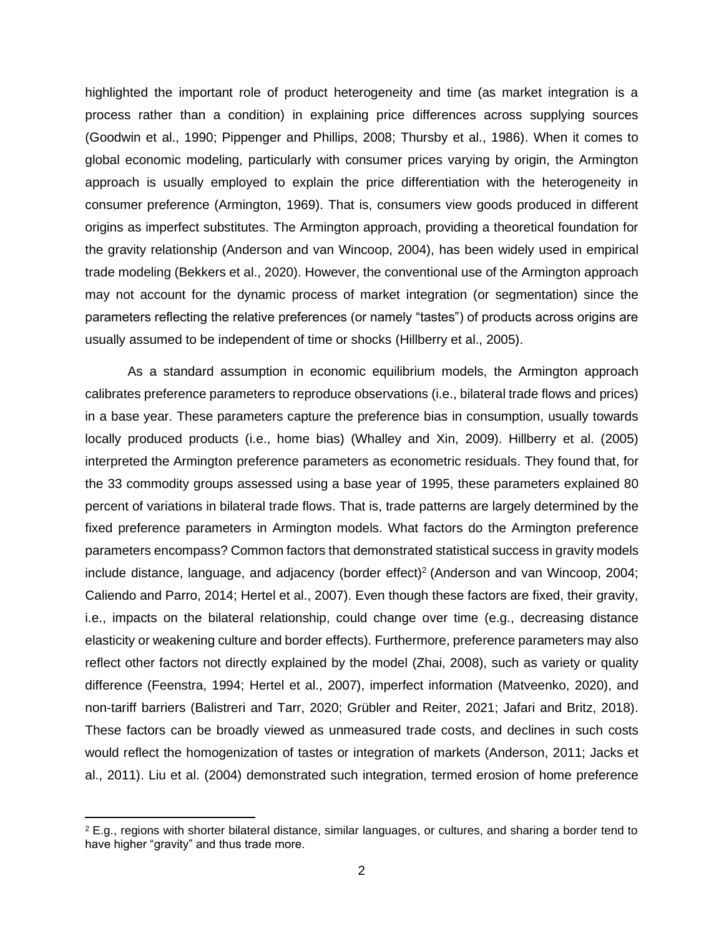highlighted the important role of product heterogeneity and time (as market integration is a process rather than a condition) in explaining price differences across supplying sources (Goodwin et al., 1990; Pippenger and Phillips, 2008; Thursby et al., 1986). When it comes to global economic modeling, particularly with consumer prices varying by origin, the Armington approach is usually employed to explain the price differentiation with the heterogeneity in consumer preference (Armington, 1969). That is, consumers view goods produced in different origins as imperfect substitutes. The Armington approach, providing a theoretical foundation for the gravity relationship (Anderson and van Wincoop, 2004), has been widely used in empirical trade modeling (Bekkers et al., 2020). However, the conventional use of the Armington approach may not account for the dynamic process of market integration (or segmentation) since the parameters reflecting the relative preferences (or namely "tastes") of products across origins are usually assumed to be independent of time or shocks (Hillberry et al., 2005).

As a standard assumption in economic equilibrium models, the Armington approach calibrates preference parameters to reproduce observations (i.e., bilateral trade flows and prices) in a base year. These parameters capture the preference bias in consumption, usually towards locally produced products (i.e., home bias) (Whalley and Xin, 2009). Hillberry et al. (2005) interpreted the Armington preference parameters as econometric residuals. They found that, for the 33 commodity groups assessed using a base year of 1995, these parameters explained 80 percent of variations in bilateral trade flows. That is, trade patterns are largely determined by the fixed preference parameters in Armington models. What factors do the Armington preference parameters encompass? Common factors that demonstrated statistical success in gravity models include distance, language, and adjacency (border effect)<sup>2</sup> (Anderson and van Wincoop, 2004; Caliendo and Parro, 2014; Hertel et al., 2007). Even though these factors are fixed, their gravity, i.e., impacts on the bilateral relationship, could change over time (e.g., decreasing distance elasticity or weakening culture and border effects). Furthermore, preference parameters may also reflect other factors not directly explained by the model (Zhai, 2008), such as variety or quality difference (Feenstra, 1994; Hertel et al., 2007), imperfect information (Matveenko, 2020), and non-tariff barriers (Balistreri and Tarr, 2020; Grübler and Reiter, 2021; Jafari and Britz, 2018). These factors can be broadly viewed as unmeasured trade costs, and declines in such costs would reflect the homogenization of tastes or integration of markets (Anderson, 2011; Jacks et al., 2011). Liu et al. (2004) demonstrated such integration, termed erosion of home preference

 $2$  E.g., regions with shorter bilateral distance, similar languages, or cultures, and sharing a border tend to have higher "gravity" and thus trade more.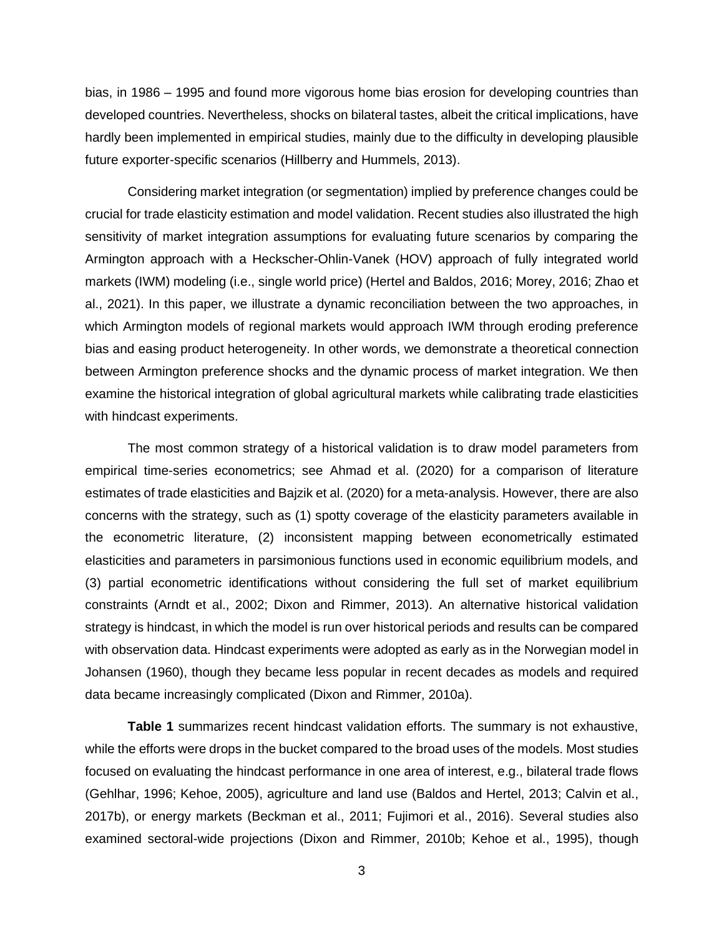bias, in 1986 – 1995 and found more vigorous home bias erosion for developing countries than developed countries. Nevertheless, shocks on bilateral tastes, albeit the critical implications, have hardly been implemented in empirical studies, mainly due to the difficulty in developing plausible future exporter-specific scenarios (Hillberry and Hummels, 2013).

Considering market integration (or segmentation) implied by preference changes could be crucial for trade elasticity estimation and model validation. Recent studies also illustrated the high sensitivity of market integration assumptions for evaluating future scenarios by comparing the Armington approach with a Heckscher-Ohlin-Vanek (HOV) approach of fully integrated world markets (IWM) modeling (i.e., single world price) (Hertel and Baldos, 2016; Morey, 2016; Zhao et al., 2021). In this paper, we illustrate a dynamic reconciliation between the two approaches, in which Armington models of regional markets would approach IWM through eroding preference bias and easing product heterogeneity. In other words, we demonstrate a theoretical connection between Armington preference shocks and the dynamic process of market integration. We then examine the historical integration of global agricultural markets while calibrating trade elasticities with hindcast experiments.

The most common strategy of a historical validation is to draw model parameters from empirical time-series econometrics; see Ahmad et al. (2020) for a comparison of literature estimates of trade elasticities and Bajzik et al. (2020) for a meta-analysis. However, there are also concerns with the strategy, such as (1) spotty coverage of the elasticity parameters available in the econometric literature, (2) inconsistent mapping between econometrically estimated elasticities and parameters in parsimonious functions used in economic equilibrium models, and (3) partial econometric identifications without considering the full set of market equilibrium constraints (Arndt et al., 2002; Dixon and Rimmer, 2013). An alternative historical validation strategy is hindcast, in which the model is run over historical periods and results can be compared with observation data. Hindcast experiments were adopted as early as in the Norwegian model in Johansen (1960), though they became less popular in recent decades as models and required data became increasingly complicated (Dixon and Rimmer, 2010a).

**Table 1** summarizes recent hindcast validation efforts. The summary is not exhaustive, while the efforts were drops in the bucket compared to the broad uses of the models. Most studies focused on evaluating the hindcast performance in one area of interest, e.g., bilateral trade flows (Gehlhar, 1996; Kehoe, 2005), agriculture and land use (Baldos and Hertel, 2013; Calvin et al., 2017b), or energy markets (Beckman et al., 2011; Fujimori et al., 2016). Several studies also examined sectoral-wide projections (Dixon and Rimmer, 2010b; Kehoe et al., 1995), though

3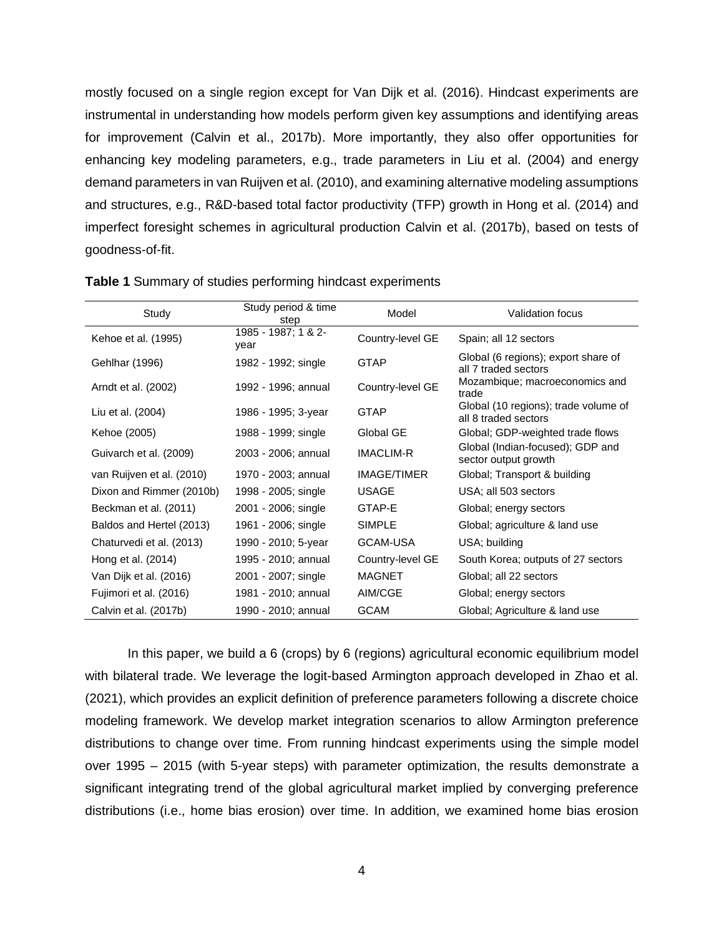mostly focused on a single region except for Van Dijk et al. (2016). Hindcast experiments are instrumental in understanding how models perform given key assumptions and identifying areas for improvement (Calvin et al., 2017b). More importantly, they also offer opportunities for enhancing key modeling parameters, e.g., trade parameters in Liu et al. (2004) and energy demand parameters in van Ruijven et al. (2010), and examining alternative modeling assumptions and structures, e.g., R&D-based total factor productivity (TFP) growth in Hong et al. (2014) and imperfect foresight schemes in agricultural production Calvin et al. (2017b), based on tests of goodness-of-fit.

| Study                     | Study period & time<br>step | Model              | Validation focus                                             |
|---------------------------|-----------------------------|--------------------|--------------------------------------------------------------|
| Kehoe et al. (1995)       | 1985 - 1987; 1 & 2-<br>year | Country-level GE   | Spain; all 12 sectors                                        |
| Gehlhar (1996)            | 1982 - 1992; single         | <b>GTAP</b>        | Global (6 regions); export share of<br>all 7 traded sectors  |
| Arndt et al. (2002)       | 1992 - 1996; annual         | Country-level GE   | Mozambique; macroeconomics and<br>trade                      |
| Liu et al. (2004)         | 1986 - 1995; 3-year         | <b>GTAP</b>        | Global (10 regions); trade volume of<br>all 8 traded sectors |
| Kehoe (2005)              | 1988 - 1999; single         | Global GE          | Global; GDP-weighted trade flows                             |
| Guivarch et al. (2009)    | 2003 - 2006; annual         | IMACLIM-R          | Global (Indian-focused); GDP and<br>sector output growth     |
| van Ruijven et al. (2010) | 1970 - 2003; annual         | <b>IMAGE/TIMER</b> | Global; Transport & building                                 |
| Dixon and Rimmer (2010b)  | 1998 - 2005; single         | <b>USAGE</b>       | USA; all 503 sectors                                         |
| Beckman et al. (2011)     | 2001 - 2006; single         | GTAP-E             | Global; energy sectors                                       |
| Baldos and Hertel (2013)  | 1961 - 2006; single         | <b>SIMPLE</b>      | Global; agriculture & land use                               |
| Chaturvedi et al. (2013)  | 1990 - 2010; 5-year         | <b>GCAM-USA</b>    | USA; building                                                |
| Hong et al. (2014)        | 1995 - 2010; annual         | Country-level GE   | South Korea; outputs of 27 sectors                           |
| Van Dijk et al. (2016)    | 2001 - 2007; single         | <b>MAGNET</b>      | Global; all 22 sectors                                       |
| Fujimori et al. (2016)    | 1981 - 2010; annual         | AIM/CGE            | Global; energy sectors                                       |
| Calvin et al. (2017b)     | 1990 - 2010; annual         | <b>GCAM</b>        | Global; Agriculture & land use                               |

|  | <b>Table 1</b> Summary of studies performing hindcast experiments |  |  |  |  |
|--|-------------------------------------------------------------------|--|--|--|--|
|--|-------------------------------------------------------------------|--|--|--|--|

In this paper, we build a 6 (crops) by 6 (regions) agricultural economic equilibrium model with bilateral trade. We leverage the logit-based Armington approach developed in Zhao et al. (2021), which provides an explicit definition of preference parameters following a discrete choice modeling framework. We develop market integration scenarios to allow Armington preference distributions to change over time. From running hindcast experiments using the simple model over 1995 – 2015 (with 5-year steps) with parameter optimization, the results demonstrate a significant integrating trend of the global agricultural market implied by converging preference distributions (i.e., home bias erosion) over time. In addition, we examined home bias erosion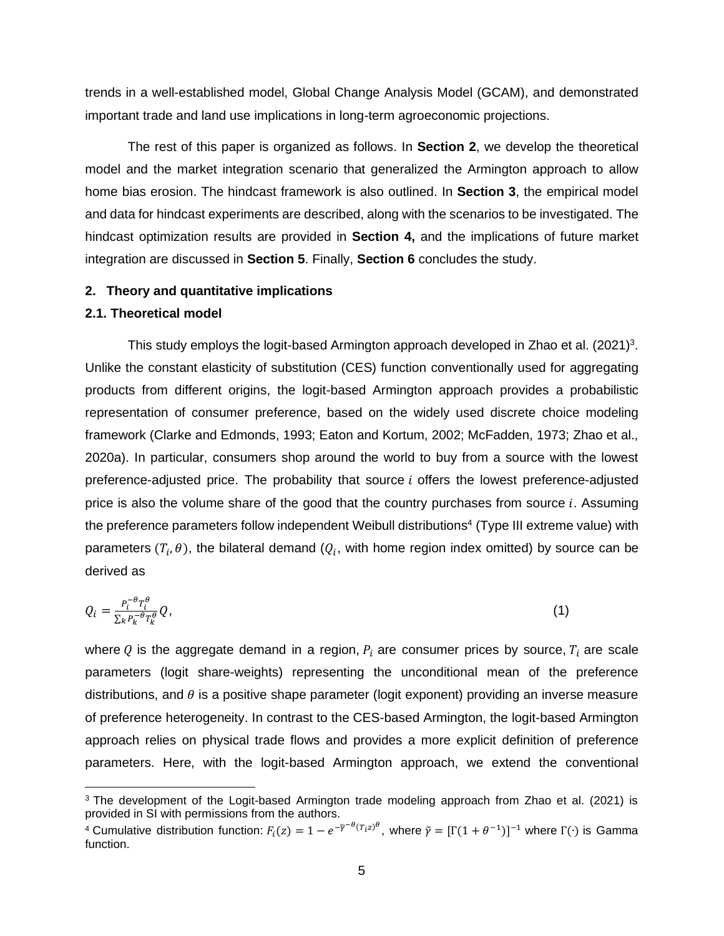trends in a well-established model, Global Change Analysis Model (GCAM), and demonstrated important trade and land use implications in long-term agroeconomic projections.

The rest of this paper is organized as follows. In **Section 2**, we develop the theoretical model and the market integration scenario that generalized the Armington approach to allow home bias erosion. The hindcast framework is also outlined. In **Section 3**, the empirical model and data for hindcast experiments are described, along with the scenarios to be investigated. The hindcast optimization results are provided in **Section 4,** and the implications of future market integration are discussed in **Section 5**. Finally, **Section 6** concludes the study.

#### **2. Theory and quantitative implications**

### **2.1. Theoretical model**

This study employs the logit-based Armington approach developed in Zhao et al.  $(2021)^3$ . Unlike the constant elasticity of substitution (CES) function conventionally used for aggregating products from different origins, the logit-based Armington approach provides a probabilistic representation of consumer preference, based on the widely used discrete choice modeling framework (Clarke and Edmonds, 1993; Eaton and Kortum, 2002; McFadden, 1973; Zhao et al., 2020a). In particular, consumers shop around the world to buy from a source with the lowest preference-adjusted price. The probability that source  $i$  offers the lowest preference-adjusted price is also the volume share of the good that the country purchases from source  $i$ . Assuming the preference parameters follow independent Weibull distributions 4 (Type III extreme value) with parameters  $(T_i, \theta)$ , the bilateral demand ( $Q_i$ , with home region index omitted) by source can be derived as

$$
Q_i = \frac{P_i^{-\theta} T_i^{\theta}}{\Sigma_k P_k^{-\theta} T_k^{\theta}} Q,\tag{1}
$$

where Q is the aggregate demand in a region,  $P_i$  are consumer prices by source,  $T_i$  are scale parameters (logit share-weights) representing the unconditional mean of the preference distributions, and  $\theta$  is a positive shape parameter (logit exponent) providing an inverse measure of preference heterogeneity. In contrast to the CES-based Armington, the logit-based Armington approach relies on physical trade flows and provides a more explicit definition of preference parameters. Here, with the logit-based Armington approach, we extend the conventional

<sup>&</sup>lt;sup>3</sup> The development of the Logit-based Armington trade modeling approach from Zhao et al. (2021) is provided in SI with permissions from the authors.

<sup>&</sup>lt;sup>4</sup> Cumulative distribution function:  $F_i(z) = 1 - e^{-\tilde{\gamma}^{-\theta}(T_i z)^{\theta}},$  where  $\tilde{\gamma} = [\Gamma(1 + \theta^{-1})]^{-1}$  where Γ(·) is Gamma function.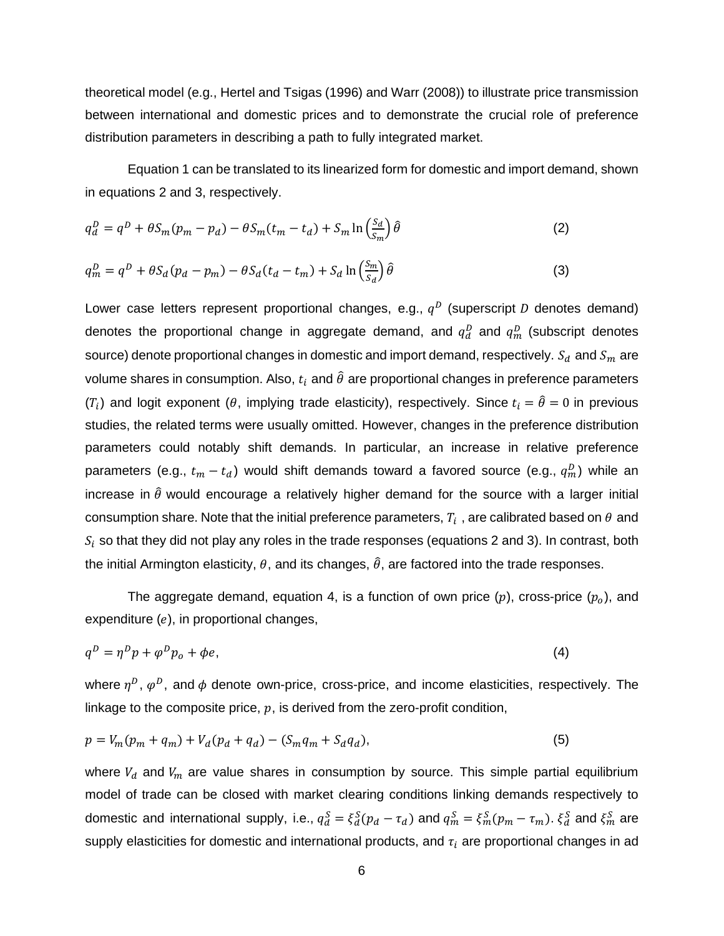theoretical model (e.g., Hertel and Tsigas (1996) and Warr (2008)) to illustrate price transmission between international and domestic prices and to demonstrate the crucial role of preference distribution parameters in describing a path to fully integrated market.

Equation 1 can be translated to its linearized form for domestic and import demand, shown in equations 2 and 3, respectively.

$$
q_d^D = q^D + \theta S_m (p_m - p_d) - \theta S_m (t_m - t_d) + S_m \ln \left( \frac{S_d}{S_m} \right) \hat{\theta}
$$
 (2)

$$
q_m^D = q^D + \theta S_d (p_d - p_m) - \theta S_d (t_d - t_m) + S_d \ln \left( \frac{S_m}{S_d} \right) \hat{\theta}
$$
 (3)

Lower case letters represent proportional changes, e.g.,  $q^D$  (superscript D denotes demand) denotes the proportional change in aggregate demand, and  $q_d^D$  and  $q_m^D$  (subscript denotes source) denote proportional changes in domestic and import demand, respectively.  $S_d$  and  $S_m$  are volume shares in consumption. Also,  $t_i$  and  $\hat{\theta}$  are proportional changes in preference parameters ( $T_i$ ) and logit exponent ( $\theta$ , implying trade elasticity), respectively. Since  $t_i = \hat{\theta} = 0$  in previous studies, the related terms were usually omitted. However, changes in the preference distribution parameters could notably shift demands. In particular, an increase in relative preference parameters (e.g.,  $t_m-t_d$ ) would shift demands toward a favored source (e.g.,  $q_m^D$ ) while an increase in  $\hat{\theta}$  would encourage a relatively higher demand for the source with a larger initial consumption share. Note that the initial preference parameters,  $T_i$  , are calibrated based on  $\theta$  and  $S_i$  so that they did not play any roles in the trade responses (equations 2 and 3). In contrast, both the initial Armington elasticity,  $\theta$ , and its changes,  $\hat{\theta}$ , are factored into the trade responses.

The aggregate demand, equation 4, is a function of own price  $(p)$ , cross-price  $(p_o)$ , and expenditure  $(e)$ , in proportional changes,

$$
q^D = \eta^D p + \varphi^D p_o + \varphi e,\tag{4}
$$

where  $\eta^D$ ,  $\varphi^D$ , and  $\phi$  denote own-price, cross-price, and income elasticities, respectively. The linkage to the composite price,  $p$ , is derived from the zero-profit condition,

$$
p = V_m(p_m + q_m) + V_d(p_d + q_d) - (S_m q_m + S_d q_d),
$$
\n(5)

where  $V_d$  and  $V_m$  are value shares in consumption by source. This simple partial equilibrium model of trade can be closed with market clearing conditions linking demands respectively to domestic and international supply, i.e.,  $q_d^S = \xi_d^S(p_d-\tau_d)$  and  $q_m^S = \xi_m^S(p_m-\tau_m)$ .  $\xi_d^S$  and  $\xi_m^S$  are supply elasticities for domestic and international products, and  $\tau_i$  are proportional changes in ad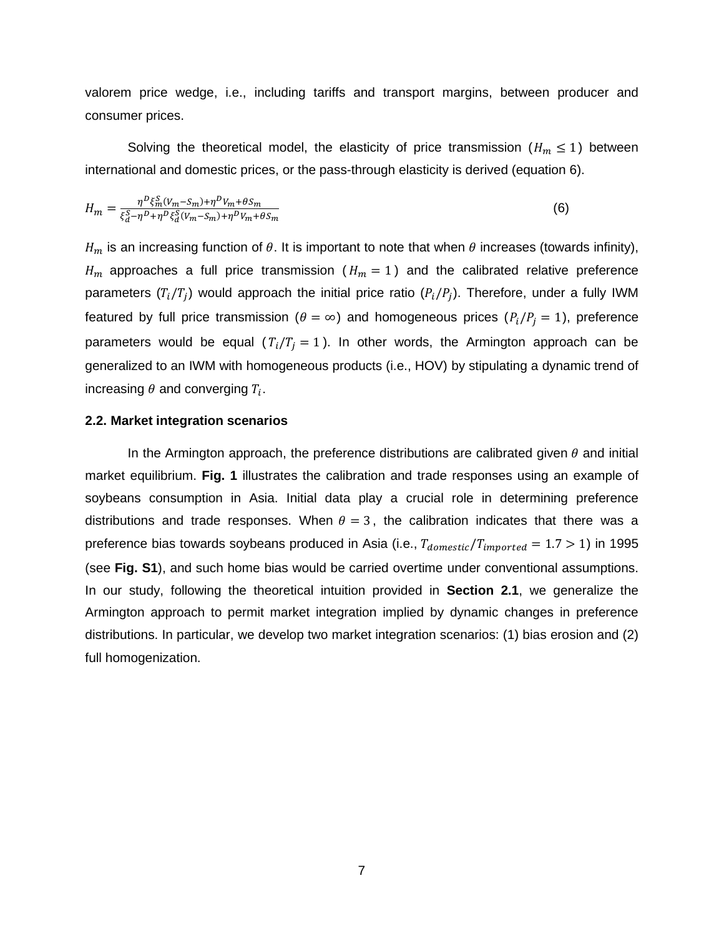valorem price wedge, i.e., including tariffs and transport margins, between producer and consumer prices.

Solving the theoretical model, the elasticity of price transmission  $(H_m \leq 1)$  between international and domestic prices, or the pass-through elasticity is derived (equation 6).

$$
H_m = \frac{\eta^D \xi_m^S (V_m - S_m) + \eta^D V_m + \theta S_m}{\xi_d^S - \eta^D + \eta^D \xi_d^S (V_m - S_m) + \eta^D V_m + \theta S_m}
$$
(6)

 $H_m$  is an increasing function of  $\theta$ . It is important to note that when  $\theta$  increases (towards infinity),  $H_m$  approaches a full price transmission ( $H_m = 1$ ) and the calibrated relative preference parameters  $(T_i/T_j)$  would approach the initial price ratio  $(P_i/P_j)$ . Therefore, under a fully IWM featured by full price transmission ( $\theta = \infty$ ) and homogeneous prices ( $P_i/P_i = 1$ ), preference parameters would be equal  $(T_i/T_i = 1)$ . In other words, the Armington approach can be generalized to an IWM with homogeneous products (i.e., HOV) by stipulating a dynamic trend of increasing  $\theta$  and converging  $T_i.$ 

#### **2.2. Market integration scenarios**

In the Armington approach, the preference distributions are calibrated given  $\theta$  and initial market equilibrium. **Fig. 1** illustrates the calibration and trade responses using an example of soybeans consumption in Asia. Initial data play a crucial role in determining preference distributions and trade responses. When  $\theta = 3$ , the calibration indicates that there was a preference bias towards soybeans produced in Asia (i.e.,  $T_{domestic}/T_{imported} = 1.7 > 1$ ) in 1995 (see **Fig. S1**), and such home bias would be carried overtime under conventional assumptions. In our study, following the theoretical intuition provided in **Section 2.1**, we generalize the Armington approach to permit market integration implied by dynamic changes in preference distributions. In particular, we develop two market integration scenarios: (1) bias erosion and (2) full homogenization.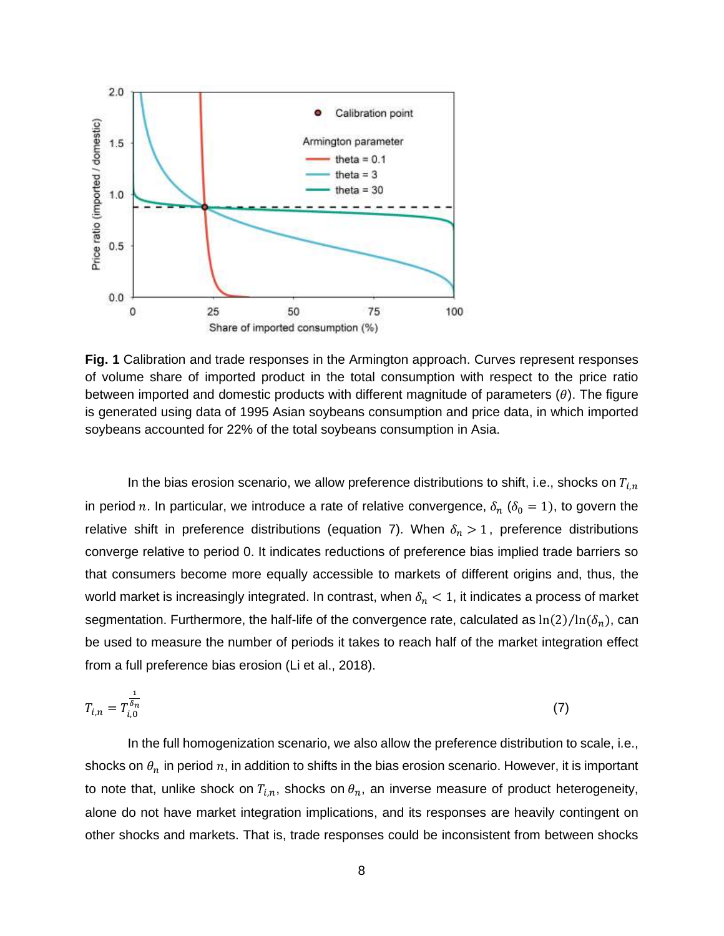

**Fig. 1** Calibration and trade responses in the Armington approach. Curves represent responses of volume share of imported product in the total consumption with respect to the price ratio between imported and domestic products with different magnitude of parameters  $(\theta)$ . The figure is generated using data of 1995 Asian soybeans consumption and price data, in which imported soybeans accounted for 22% of the total soybeans consumption in Asia.

In the bias erosion scenario, we allow preference distributions to shift, i.e., shocks on  $T_{i,n}$ in period n. In particular, we introduce a rate of relative convergence,  $\delta_n$  ( $\delta_0 = 1$ ), to govern the relative shift in preference distributions (equation 7). When  $\delta_n > 1$ , preference distributions converge relative to period 0. It indicates reductions of preference bias implied trade barriers so that consumers become more equally accessible to markets of different origins and, thus, the world market is increasingly integrated. In contrast, when  $\delta_n < 1$ , it indicates a process of market segmentation. Furthermore, the half-life of the convergence rate, calculated as  $\ln(2)/\ln(\delta_n)$ , can be used to measure the number of periods it takes to reach half of the market integration effect from a full preference bias erosion (Li et al., 2018).

$$
T_{i,n} = T_{i,0}^{\frac{1}{\delta_n}} \tag{7}
$$

In the full homogenization scenario, we also allow the preference distribution to scale, i.e., shocks on  $\theta_n$  in period n, in addition to shifts in the bias erosion scenario. However, it is important to note that, unlike shock on  $T_{i,n}$ , shocks on  $\theta_n$ , an inverse measure of product heterogeneity, alone do not have market integration implications, and its responses are heavily contingent on other shocks and markets. That is, trade responses could be inconsistent from between shocks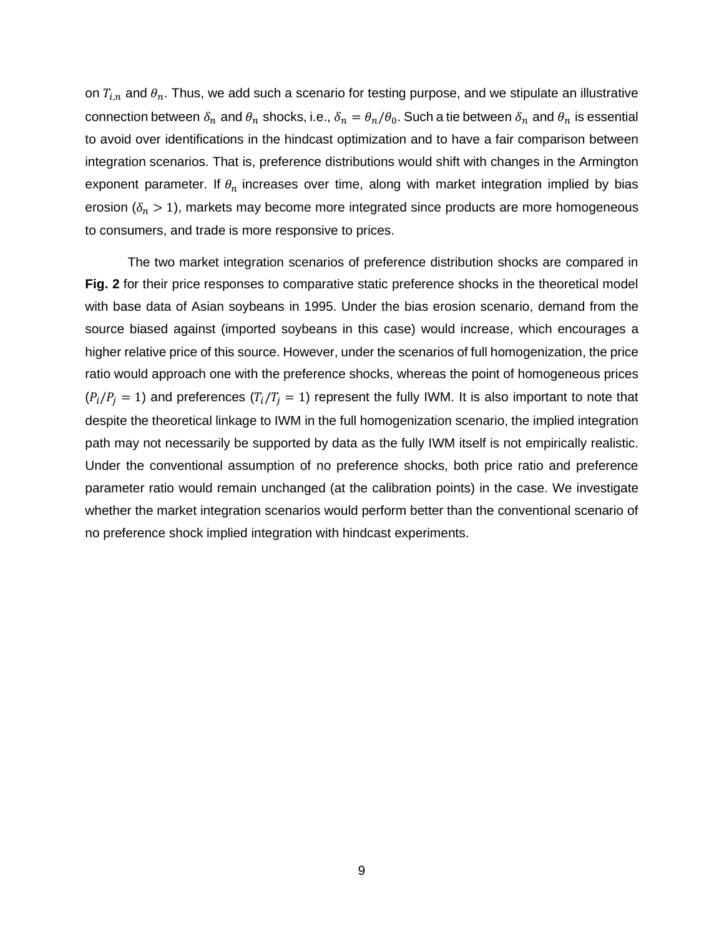on  $T_{i,n}$  and  $\theta_n$ . Thus, we add such a scenario for testing purpose, and we stipulate an illustrative connection between  $\delta_n$  and  $\theta_n$  shocks, i.e.,  $\delta_n = \theta_n/\theta_0$ . Such a tie between  $\delta_n$  and  $\theta_n$  is essential to avoid over identifications in the hindcast optimization and to have a fair comparison between integration scenarios. That is, preference distributions would shift with changes in the Armington exponent parameter. If  $\theta_n$  increases over time, along with market integration implied by bias erosion ( $\delta_n$  > 1), markets may become more integrated since products are more homogeneous to consumers, and trade is more responsive to prices.

The two market integration scenarios of preference distribution shocks are compared in **Fig. 2** for their price responses to comparative static preference shocks in the theoretical model with base data of Asian soybeans in 1995. Under the bias erosion scenario, demand from the source biased against (imported soybeans in this case) would increase, which encourages a higher relative price of this source. However, under the scenarios of full homogenization, the price ratio would approach one with the preference shocks, whereas the point of homogeneous prices  $(P_i/P_j = 1)$  and preferences  $(T_i/T_j = 1)$  represent the fully IWM. It is also important to note that despite the theoretical linkage to IWM in the full homogenization scenario, the implied integration path may not necessarily be supported by data as the fully IWM itself is not empirically realistic. Under the conventional assumption of no preference shocks, both price ratio and preference parameter ratio would remain unchanged (at the calibration points) in the case. We investigate whether the market integration scenarios would perform better than the conventional scenario of no preference shock implied integration with hindcast experiments.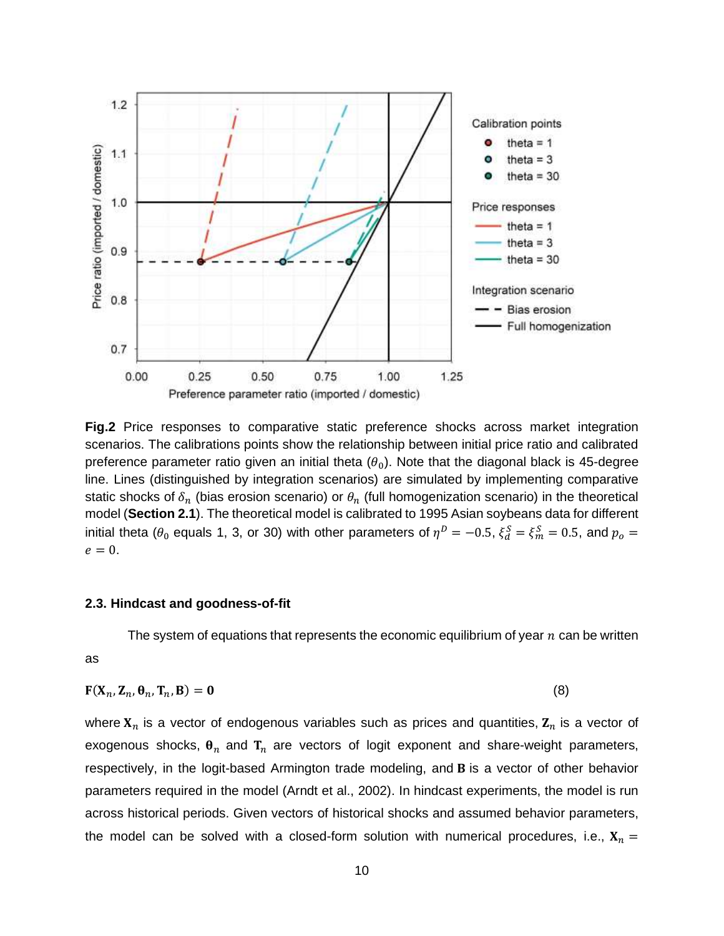

**Fig.2** Price responses to comparative static preference shocks across market integration scenarios. The calibrations points show the relationship between initial price ratio and calibrated preference parameter ratio given an initial theta  $(\theta_0)$ . Note that the diagonal black is 45-degree line. Lines (distinguished by integration scenarios) are simulated by implementing comparative static shocks of  $\delta_n$  (bias erosion scenario) or  $\theta_n$  (full homogenization scenario) in the theoretical model (**Section 2.1**). The theoretical model is calibrated to 1995 Asian soybeans data for different initial theta ( $\theta_0$  equals 1, 3, or 30) with other parameters of  $\eta^D=-0.5, \, \xi^S_d=\xi^S_m=0.5,$  and  $p_o=0$  $e = 0$ .

### **2.3. Hindcast and goodness-of-fit**

The system of equations that represents the economic equilibrium of year  $n$  can be written

as

$$
\mathbf{F}(\mathbf{X}_n, \mathbf{Z}_n, \mathbf{\theta}_n, \mathbf{T}_n, \mathbf{B}) = \mathbf{0}
$$
\n(8)

where  $X_n$  is a vector of endogenous variables such as prices and quantities,  $Z_n$  is a vector of exogenous shocks,  $\theta_n$  and  $T_n$  are vectors of logit exponent and share-weight parameters, respectively, in the logit-based Armington trade modeling, and **B** is a vector of other behavior parameters required in the model (Arndt et al., 2002). In hindcast experiments, the model is run across historical periods. Given vectors of historical shocks and assumed behavior parameters, the model can be solved with a closed-form solution with numerical procedures, i.e.,  $X_n =$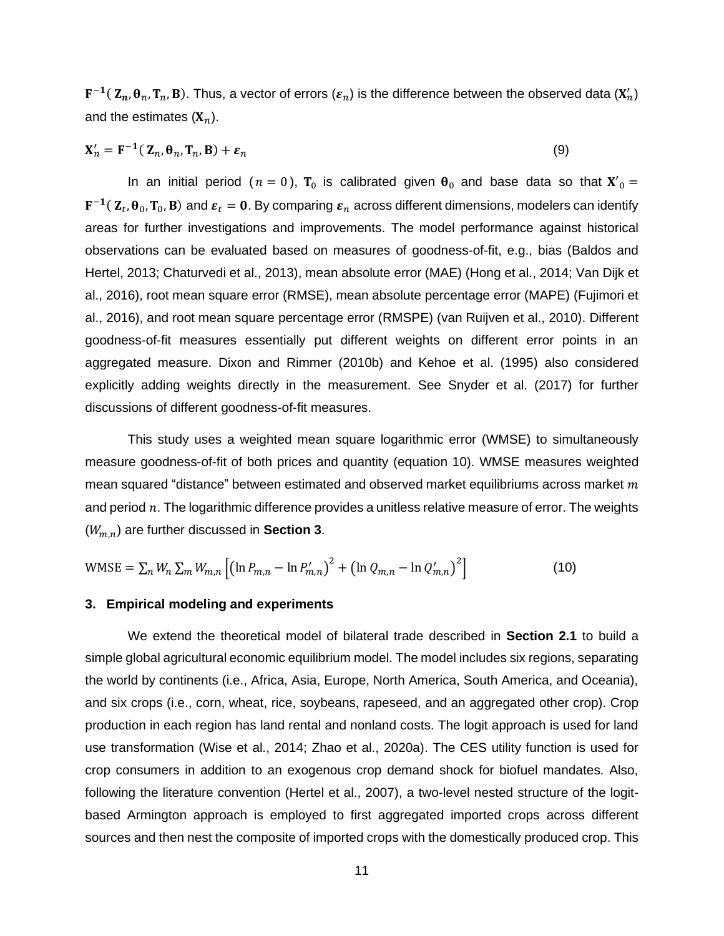$F^{-1}(\textbf{Z}_n,\theta_n,\textbf{T}_n,\textbf{B}).$  Thus, a vector of errors  $(\pmb{\varepsilon}_n)$  is the difference between the observed data  $(\textbf{X}'_n)$ and the estimates  $(X_n)$ .

$$
\mathbf{X}'_n = \mathbf{F}^{-1}(\mathbf{Z}_n, \boldsymbol{\theta}_n, \mathbf{T}_n, \mathbf{B}) + \boldsymbol{\varepsilon}_n \tag{9}
$$

In an initial period ( $n = 0$ ),  $T_0$  is calibrated given  $\theta_0$  and base data so that  $X'_0 =$  ${\bf F^{-1}}(\,{\bf Z}_t,{\bf \theta}_0,{\bf T}_0,{\bf B})$  and  $\bm{\varepsilon}_t={\bf 0}.$  By comparing  $\bm{\varepsilon}_n$  across different dimensions, modelers can identify areas for further investigations and improvements. The model performance against historical observations can be evaluated based on measures of goodness-of-fit, e.g., bias (Baldos and Hertel, 2013; Chaturvedi et al., 2013), mean absolute error (MAE) (Hong et al., 2014; Van Dijk et al., 2016), root mean square error (RMSE), mean absolute percentage error (MAPE) (Fujimori et al., 2016), and root mean square percentage error (RMSPE) (van Ruijven et al., 2010). Different goodness-of-fit measures essentially put different weights on different error points in an aggregated measure. Dixon and Rimmer (2010b) and Kehoe et al. (1995) also considered explicitly adding weights directly in the measurement. See Snyder et al. (2017) for further discussions of different goodness-of-fit measures.

This study uses a weighted mean square logarithmic error (WMSE) to simultaneously measure goodness-of-fit of both prices and quantity (equation 10). WMSE measures weighted mean squared "distance" between estimated and observed market equilibriums across market  $m$ and period  $n$ . The logarithmic difference provides a unitless relative measure of error. The weights  $(W_{m,n})$  are further discussed in **Section 3**.

WMSE = 
$$
\sum_{n} W_n \sum_{m} W_{m,n} \left[ \left( \ln P_{m,n} - \ln P'_{m,n} \right)^2 + \left( \ln Q_{m,n} - \ln Q'_{m,n} \right)^2 \right]
$$
 (10)

#### **3. Empirical modeling and experiments**

We extend the theoretical model of bilateral trade described in **Section 2.1** to build a simple global agricultural economic equilibrium model. The model includes six regions, separating the world by continents (i.e., Africa, Asia, Europe, North America, South America, and Oceania), and six crops (i.e., corn, wheat, rice, soybeans, rapeseed, and an aggregated other crop). Crop production in each region has land rental and nonland costs. The logit approach is used for land use transformation (Wise et al., 2014; Zhao et al., 2020a). The CES utility function is used for crop consumers in addition to an exogenous crop demand shock for biofuel mandates. Also, following the literature convention (Hertel et al., 2007), a two-level nested structure of the logitbased Armington approach is employed to first aggregated imported crops across different sources and then nest the composite of imported crops with the domestically produced crop. This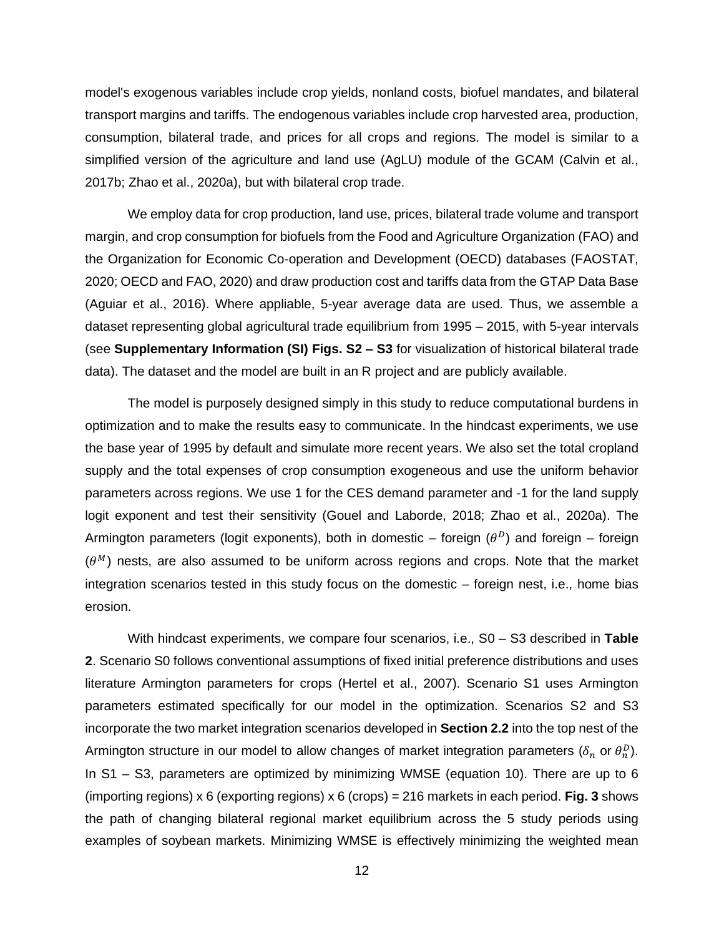model's exogenous variables include crop yields, nonland costs, biofuel mandates, and bilateral transport margins and tariffs. The endogenous variables include crop harvested area, production, consumption, bilateral trade, and prices for all crops and regions. The model is similar to a simplified version of the agriculture and land use (AgLU) module of the GCAM (Calvin et al., 2017b; Zhao et al., 2020a), but with bilateral crop trade.

We employ data for crop production, land use, prices, bilateral trade volume and transport margin, and crop consumption for biofuels from the Food and Agriculture Organization (FAO) and the Organization for Economic Co-operation and Development (OECD) databases (FAOSTAT, 2020; OECD and FAO, 2020) and draw production cost and tariffs data from the GTAP Data Base (Aguiar et al., 2016). Where appliable, 5-year average data are used. Thus, we assemble a dataset representing global agricultural trade equilibrium from 1995 – 2015, with 5-year intervals (see **Supplementary Information (SI) Figs. S2 – S3** for visualization of historical bilateral trade data). The dataset and the model are built in an R project and are publicly available.

The model is purposely designed simply in this study to reduce computational burdens in optimization and to make the results easy to communicate. In the hindcast experiments, we use the base year of 1995 by default and simulate more recent years. We also set the total cropland supply and the total expenses of crop consumption exogeneous and use the uniform behavior parameters across regions. We use 1 for the CES demand parameter and -1 for the land supply logit exponent and test their sensitivity (Gouel and Laborde, 2018; Zhao et al., 2020a). The Armington parameters (logit exponents), both in domestic – foreign  $(\theta^D)$  and foreign – foreign  $(\theta^M)$  nests, are also assumed to be uniform across regions and crops. Note that the market integration scenarios tested in this study focus on the domestic – foreign nest, i.e., home bias erosion.

With hindcast experiments, we compare four scenarios, i.e., S0 – S3 described in **Table 2**. Scenario S0 follows conventional assumptions of fixed initial preference distributions and uses literature Armington parameters for crops (Hertel et al., 2007). Scenario S1 uses Armington parameters estimated specifically for our model in the optimization. Scenarios S2 and S3 incorporate the two market integration scenarios developed in **Section 2.2** into the top nest of the Armington structure in our model to allow changes of market integration parameters ( $\delta_n$  or  $\theta^D_n$ ). In S1 – S3, parameters are optimized by minimizing WMSE (equation 10). There are up to 6 (importing regions) x 6 (exporting regions) x 6 (crops) = 216 markets in each period. **Fig. 3** shows the path of changing bilateral regional market equilibrium across the 5 study periods using examples of soybean markets. Minimizing WMSE is effectively minimizing the weighted mean

12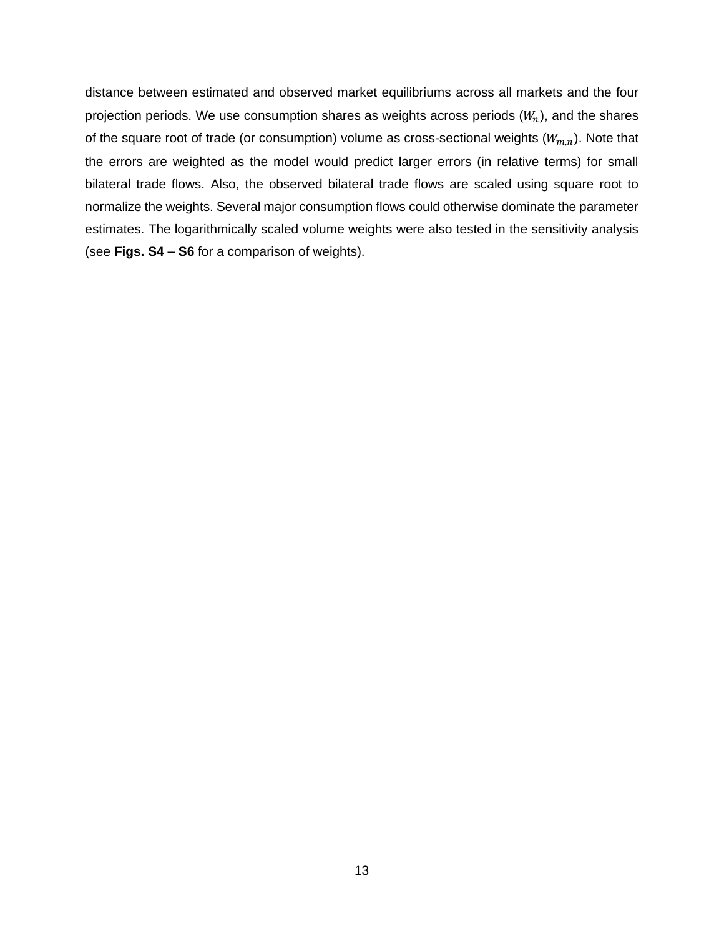distance between estimated and observed market equilibriums across all markets and the four projection periods. We use consumption shares as weights across periods  $(W_n)$ , and the shares of the square root of trade (or consumption) volume as cross-sectional weights  $(W_{m,n})$ . Note that the errors are weighted as the model would predict larger errors (in relative terms) for small bilateral trade flows. Also, the observed bilateral trade flows are scaled using square root to normalize the weights. Several major consumption flows could otherwise dominate the parameter estimates. The logarithmically scaled volume weights were also tested in the sensitivity analysis (see **Figs. S4 – S6** for a comparison of weights).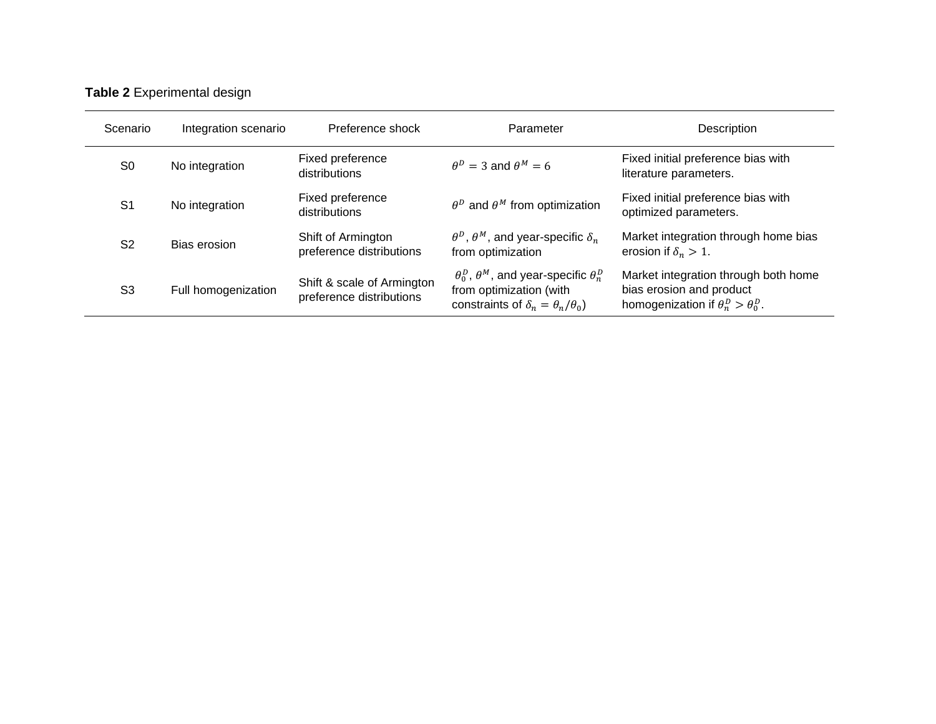# **Table 2** Experimental design

| Scenario       | Integration scenario | Preference shock                                       | Parameter                                                                                                                                | Description                                                                                                       |  |  |
|----------------|----------------------|--------------------------------------------------------|------------------------------------------------------------------------------------------------------------------------------------------|-------------------------------------------------------------------------------------------------------------------|--|--|
| S <sub>0</sub> | No integration       | Fixed preference<br>distributions                      | $\theta^D = 3$ and $\theta^M = 6$                                                                                                        | Fixed initial preference bias with<br>literature parameters.                                                      |  |  |
| S <sub>1</sub> | No integration       | Fixed preference<br>distributions                      | $\theta^D$ and $\theta^M$ from optimization                                                                                              | Fixed initial preference bias with<br>optimized parameters.                                                       |  |  |
| S <sub>2</sub> | Bias erosion         | Shift of Armington<br>preference distributions         | $\theta^D$ , $\theta^M$ , and year-specific $\delta_n$<br>from optimization                                                              | Market integration through home bias<br>erosion if $\delta_n > 1$ .                                               |  |  |
| S <sub>3</sub> | Full homogenization  | Shift & scale of Armington<br>preference distributions | $\theta_0^D$ , $\theta^M$ , and year-specific $\theta_n^D$<br>from optimization (with<br>constraints of $\delta_n = \theta_n/\theta_0$ ) | Market integration through both home<br>bias erosion and product<br>homogenization if $\theta_n^D > \theta_0^D$ . |  |  |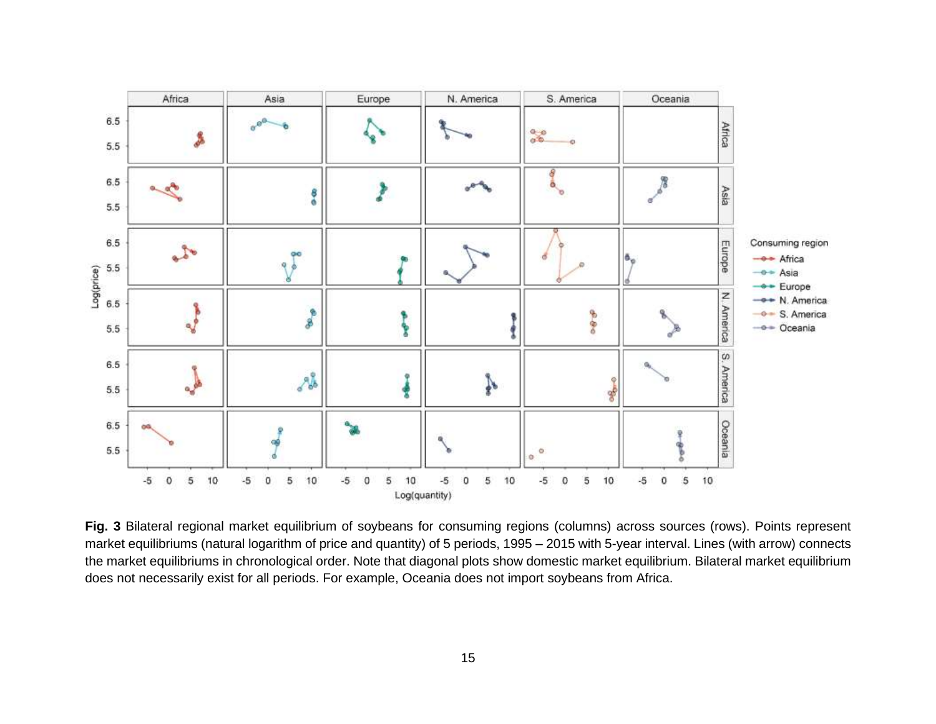

**Fig. 3** Bilateral regional market equilibrium of soybeans for consuming regions (columns) across sources (rows). Points represent market equilibriums (natural logarithm of price and quantity) of 5 periods, 1995 – 2015 with 5-year interval. Lines (with arrow) connects the market equilibriums in chronological order. Note that diagonal plots show domestic market equilibrium. Bilateral market equilibrium does not necessarily exist for all periods. For example, Oceania does not import soybeans from Africa.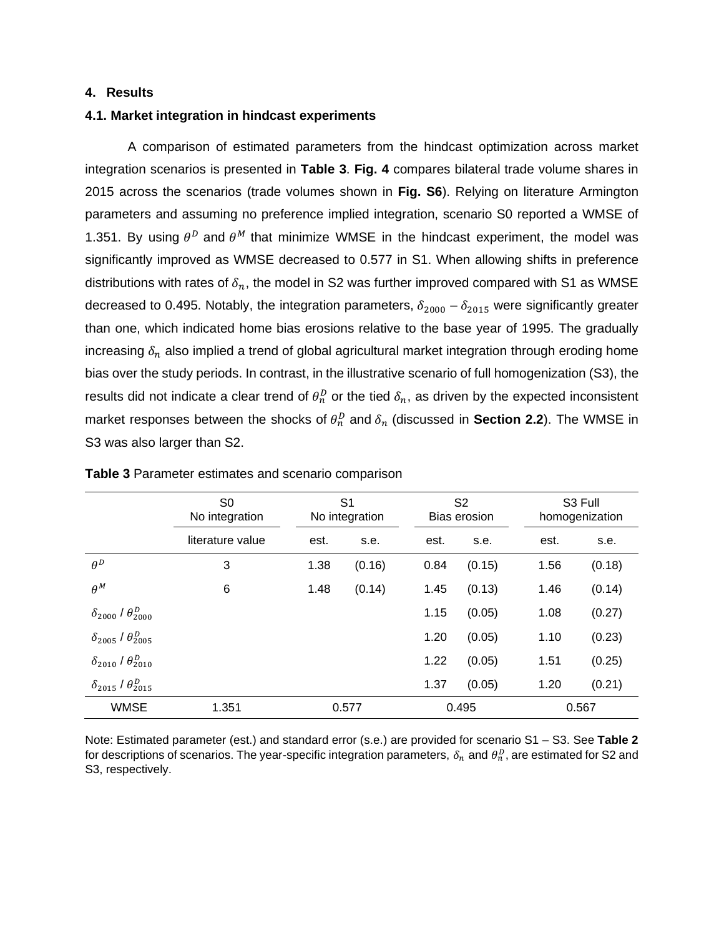#### **4. Results**

#### **4.1. Market integration in hindcast experiments**

A comparison of estimated parameters from the hindcast optimization across market integration scenarios is presented in **Table 3**. **Fig. 4** compares bilateral trade volume shares in 2015 across the scenarios (trade volumes shown in **Fig. S6**). Relying on literature Armington parameters and assuming no preference implied integration, scenario S0 reported a WMSE of 1.351. By using  $\theta^D$  and  $\theta^M$  that minimize WMSE in the hindcast experiment, the model was significantly improved as WMSE decreased to 0.577 in S1. When allowing shifts in preference distributions with rates of  $\delta_n$ , the model in S2 was further improved compared with S1 as WMSE decreased to 0.495. Notably, the integration parameters,  $\delta_{2000} - \delta_{2015}$  were significantly greater than one, which indicated home bias erosions relative to the base year of 1995. The gradually increasing  $\delta_n$  also implied a trend of global agricultural market integration through eroding home bias over the study periods. In contrast, in the illustrative scenario of full homogenization (S3), the results did not indicate a clear trend of  $\theta^D_n$  or the tied  $\delta_n$ , as driven by the expected inconsistent market responses between the shocks of  $\theta_n^D$  and  $\delta_n$  (discussed in **Section 2.2**). The WMSE in S3 was also larger than S2.

|                                       | S <sub>0</sub><br>No integration |       | S <sub>1</sub><br>No integration |      | S <sub>2</sub><br>Bias erosion | S3 Full<br>homogenization |        |  |
|---------------------------------------|----------------------------------|-------|----------------------------------|------|--------------------------------|---------------------------|--------|--|
|                                       | literature value                 | est.  | s.e.                             | est. | s.e.                           | est.                      | s.e.   |  |
| $\theta^D$                            | 3                                | 1.38  | (0.16)                           | 0.84 | (0.15)                         | 1.56                      | (0.18) |  |
| $\theta^M$                            | 6                                | 1.48  | (0.14)                           | 1.45 | (0.13)                         | 1.46                      | (0.14) |  |
| $\delta_{2000}$ / $\theta_{2000}^{D}$ |                                  |       |                                  | 1.15 | (0.05)                         | 1.08                      | (0.27) |  |
| $\delta_{2005}$ / $\theta_{2005}^{D}$ |                                  |       |                                  | 1.20 | (0.05)                         | 1.10                      | (0.23) |  |
| $\delta_{2010}$ / $\theta_{2010}^D$   |                                  |       |                                  | 1.22 | (0.05)                         | 1.51                      | (0.25) |  |
| $\delta_{2015}$ / $\theta_{2015}^D$   |                                  |       |                                  | 1.37 | (0.05)                         | 1.20                      | (0.21) |  |
| <b>WMSE</b>                           | 1.351                            | 0.577 |                                  |      | 0.495                          |                           | 0.567  |  |

**Table 3** Parameter estimates and scenario comparison

Note: Estimated parameter (est.) and standard error (s.e.) are provided for scenario S1 – S3. See **Table 2** for descriptions of scenarios. The year-specific integration parameters,  $\delta_n$  and  $\theta^D_n$ , are estimated for S2 and S3, respectively.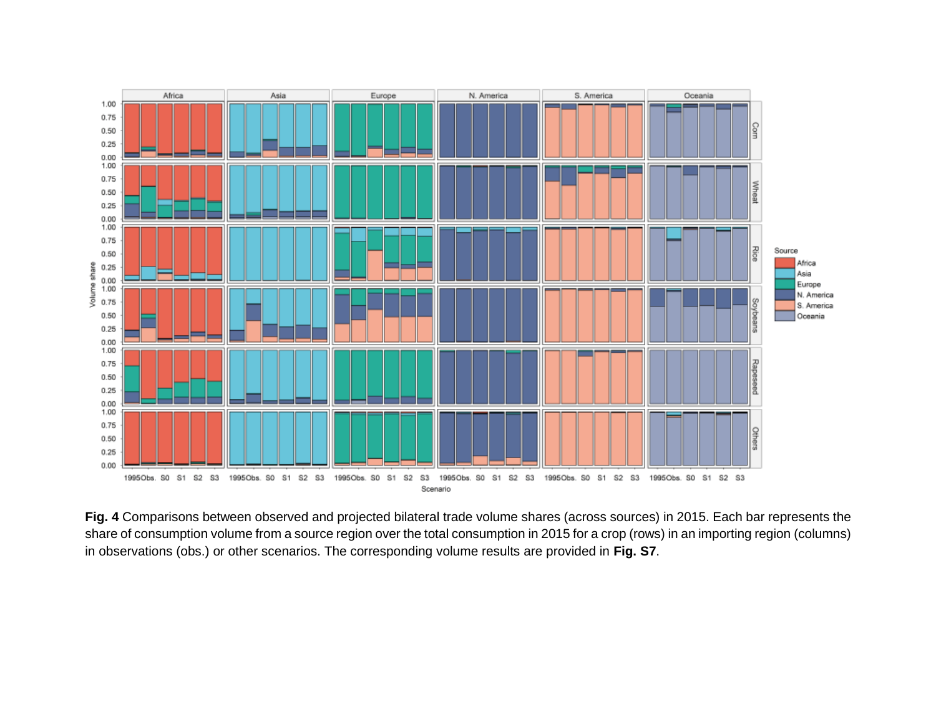

**Fig. 4** Comparisons between observed and projected bilateral trade volume shares (across sources) in 2015. Each bar represents the share of consumption volume from a source region over the total consumption in 2015 for a crop (rows) in an importing region (columns) in observations (obs.) or other scenarios. The corresponding volume results are provided in **Fig. S7**.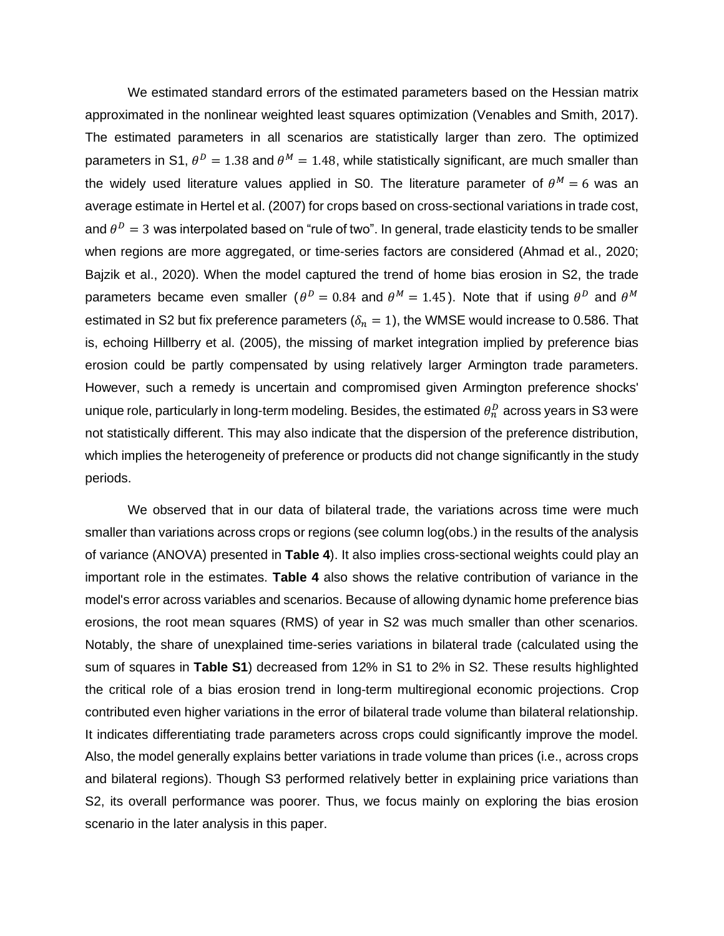We estimated standard errors of the estimated parameters based on the Hessian matrix approximated in the nonlinear weighted least squares optimization (Venables and Smith, 2017). The estimated parameters in all scenarios are statistically larger than zero. The optimized parameters in S1,  $\theta^D = 1.38$  and  $\theta^M = 1.48$ , while statistically significant, are much smaller than the widely used literature values applied in S0. The literature parameter of  $\theta^M = 6$  was an average estimate in Hertel et al. (2007) for crops based on cross-sectional variations in trade cost, and  $\theta^D = 3$  was interpolated based on "rule of two". In general, trade elasticity tends to be smaller when regions are more aggregated, or time-series factors are considered (Ahmad et al., 2020; Bajzik et al., 2020). When the model captured the trend of home bias erosion in S2, the trade parameters became even smaller ( $\theta^D = 0.84$  and  $\theta^M = 1.45$ ). Note that if using  $\theta^D$  and  $\theta^M$ estimated in S2 but fix preference parameters ( $\delta_n = 1$ ), the WMSE would increase to 0.586. That is, echoing Hillberry et al. (2005), the missing of market integration implied by preference bias erosion could be partly compensated by using relatively larger Armington trade parameters. However, such a remedy is uncertain and compromised given Armington preference shocks' unique role, particularly in long-term modeling. Besides, the estimated  $\theta^D_n$  across years in S3 were not statistically different. This may also indicate that the dispersion of the preference distribution, which implies the heterogeneity of preference or products did not change significantly in the study periods.

We observed that in our data of bilateral trade, the variations across time were much smaller than variations across crops or regions (see column log(obs.) in the results of the analysis of variance (ANOVA) presented in **Table 4**). It also implies cross-sectional weights could play an important role in the estimates. **Table 4** also shows the relative contribution of variance in the model's error across variables and scenarios. Because of allowing dynamic home preference bias erosions, the root mean squares (RMS) of year in S2 was much smaller than other scenarios. Notably, the share of unexplained time-series variations in bilateral trade (calculated using the sum of squares in **Table S1**) decreased from 12% in S1 to 2% in S2. These results highlighted the critical role of a bias erosion trend in long-term multiregional economic projections. Crop contributed even higher variations in the error of bilateral trade volume than bilateral relationship. It indicates differentiating trade parameters across crops could significantly improve the model. Also, the model generally explains better variations in trade volume than prices (i.e., across crops and bilateral regions). Though S3 performed relatively better in explaining price variations than S2, its overall performance was poorer. Thus, we focus mainly on exploring the bias erosion scenario in the later analysis in this paper.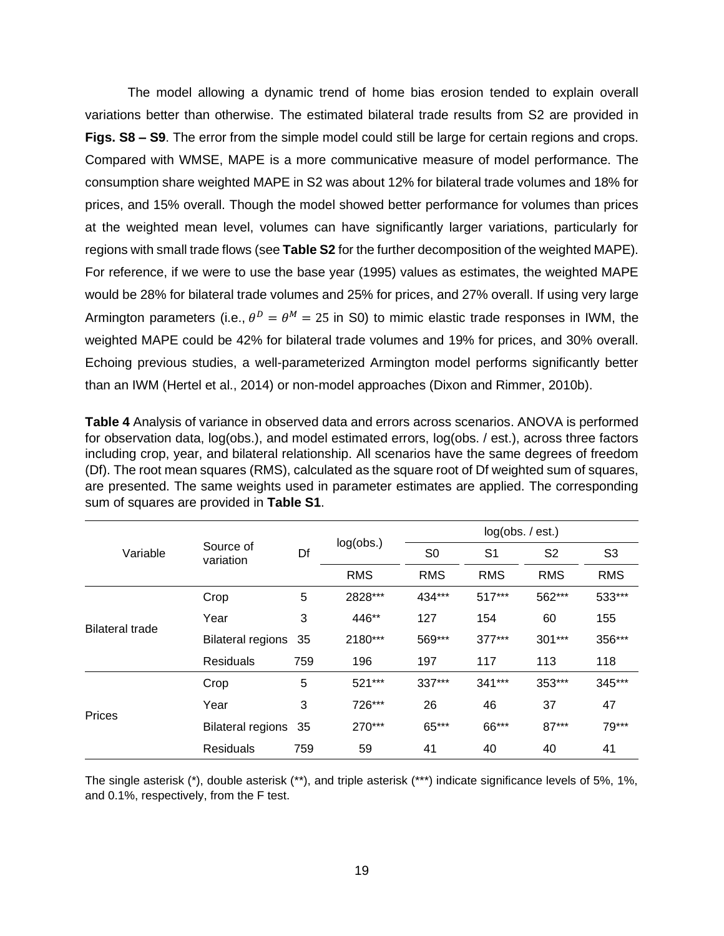The model allowing a dynamic trend of home bias erosion tended to explain overall variations better than otherwise. The estimated bilateral trade results from S2 are provided in **Figs. S8 – S9**. The error from the simple model could still be large for certain regions and crops. Compared with WMSE, MAPE is a more communicative measure of model performance. The consumption share weighted MAPE in S2 was about 12% for bilateral trade volumes and 18% for prices, and 15% overall. Though the model showed better performance for volumes than prices at the weighted mean level, volumes can have significantly larger variations, particularly for regions with small trade flows (see **Table S2** for the further decomposition of the weighted MAPE). For reference, if we were to use the base year (1995) values as estimates, the weighted MAPE would be 28% for bilateral trade volumes and 25% for prices, and 27% overall. If using very large Armington parameters (i.e.,  $\theta^D = \theta^M = 25$  in S0) to mimic elastic trade responses in IWM, the weighted MAPE could be 42% for bilateral trade volumes and 19% for prices, and 30% overall. Echoing previous studies, a well-parameterized Armington model performs significantly better than an IWM (Hertel et al., 2014) or non-model approaches (Dixon and Rimmer, 2010b).

**Table 4** Analysis of variance in observed data and errors across scenarios. ANOVA is performed for observation data, log(obs.), and model estimated errors, log(obs. / est.), across three factors including crop, year, and bilateral relationship. All scenarios have the same degrees of freedom (Df). The root mean squares (RMS), calculated as the square root of Df weighted sum of squares, are presented. The same weights used in parameter estimates are applied. The corresponding sum of squares are provided in **Table S1**.

|                        |                          |     |            | log(obs. / est.) |                |                |                |  |  |  |
|------------------------|--------------------------|-----|------------|------------------|----------------|----------------|----------------|--|--|--|
| Variable               | Source of<br>variation   | Df  | log(obs.)  | S <sub>0</sub>   | S <sub>1</sub> | S <sub>2</sub> | S <sub>3</sub> |  |  |  |
|                        |                          |     | <b>RMS</b> | <b>RMS</b>       | <b>RMS</b>     | <b>RMS</b>     | <b>RMS</b>     |  |  |  |
|                        | Crop                     | 5   | 2828***    | 434***           | 517***         | 562***         | 533***         |  |  |  |
| <b>Bilateral trade</b> | Year                     | 3   | 446**      | 127              | 154            |                | 155            |  |  |  |
|                        | <b>Bilateral regions</b> | 35  | 2180***    | 569***           | 377***         | 301***         | 356***         |  |  |  |
|                        | <b>Residuals</b>         | 759 | 196        | 197              | 117            | 113            | 118            |  |  |  |
|                        | Crop                     | 5   | 521***     | 337***           | 341***         | 353***         | 345***         |  |  |  |
| Prices                 | Year                     | 3   | 726***     | 26               | 46             | 37             | 47             |  |  |  |
|                        | <b>Bilateral regions</b> | 35  | 270***     | 65***            | 66***          | $87***$        | 79***          |  |  |  |
|                        | <b>Residuals</b>         | 759 | 59         | 41               | 40             | 40             | 41             |  |  |  |

The single asterisk (\*), double asterisk (\*\*), and triple asterisk (\*\*\*) indicate significance levels of 5%, 1%, and 0.1%, respectively, from the F test.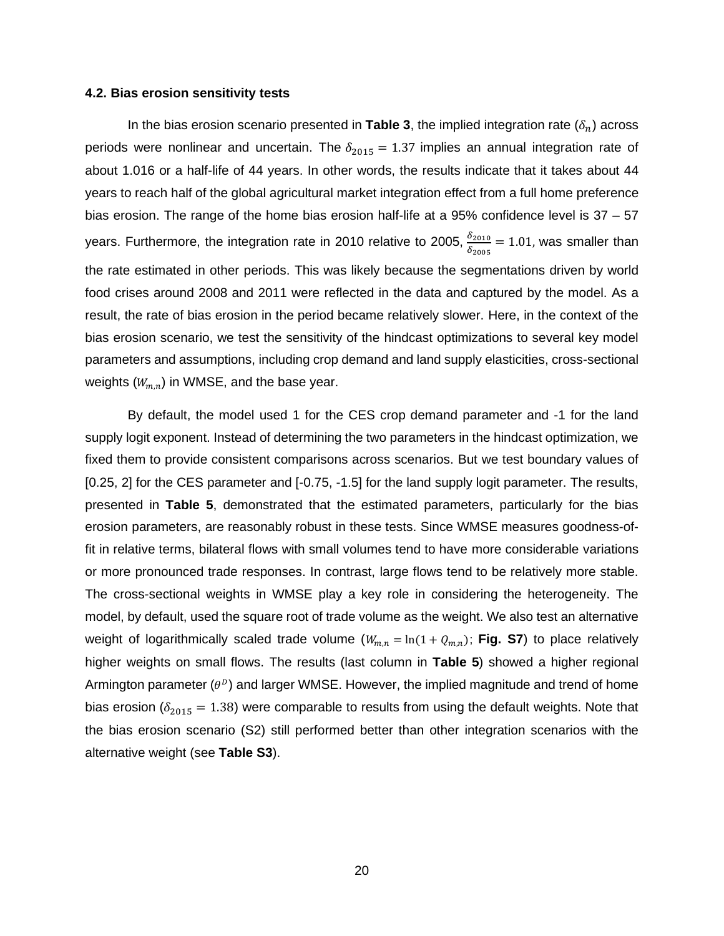#### **4.2. Bias erosion sensitivity tests**

In the bias erosion scenario presented in **Table 3**, the implied integration rate  $(\delta_n)$  across periods were nonlinear and uncertain. The  $\delta_{2015} = 1.37$  implies an annual integration rate of about 1.016 or a half-life of 44 years. In other words, the results indicate that it takes about 44 years to reach half of the global agricultural market integration effect from a full home preference bias erosion. The range of the home bias erosion half-life at a 95% confidence level is 37 – 57 years. Furthermore, the integration rate in 2010 relative to 2005,  $\frac{\delta_{2010}}{\delta_{2005}}$  = 1.01, was smaller than the rate estimated in other periods. This was likely because the segmentations driven by world food crises around 2008 and 2011 were reflected in the data and captured by the model. As a result, the rate of bias erosion in the period became relatively slower. Here, in the context of the bias erosion scenario, we test the sensitivity of the hindcast optimizations to several key model parameters and assumptions, including crop demand and land supply elasticities, cross-sectional weights  $(W_{m,n})$  in WMSE, and the base year.

By default, the model used 1 for the CES crop demand parameter and -1 for the land supply logit exponent. Instead of determining the two parameters in the hindcast optimization, we fixed them to provide consistent comparisons across scenarios. But we test boundary values of [0.25, 2] for the CES parameter and  $[-0.75, -1.5]$  for the land supply logit parameter. The results, presented in **Table 5**, demonstrated that the estimated parameters, particularly for the bias erosion parameters, are reasonably robust in these tests. Since WMSE measures goodness-offit in relative terms, bilateral flows with small volumes tend to have more considerable variations or more pronounced trade responses. In contrast, large flows tend to be relatively more stable. The cross-sectional weights in WMSE play a key role in considering the heterogeneity. The model, by default, used the square root of trade volume as the weight. We also test an alternative weight of logarithmically scaled trade volume  $(W_{m,n} = \ln(1 + Q_{m,n})$ ; **Fig. S7**) to place relatively higher weights on small flows. The results (last column in **Table 5**) showed a higher regional Armington parameter ( $\theta^D$ ) and larger WMSE. However, the implied magnitude and trend of home bias erosion ( $\delta_{2015}$  = 1.38) were comparable to results from using the default weights. Note that the bias erosion scenario (S2) still performed better than other integration scenarios with the alternative weight (see **Table S3**).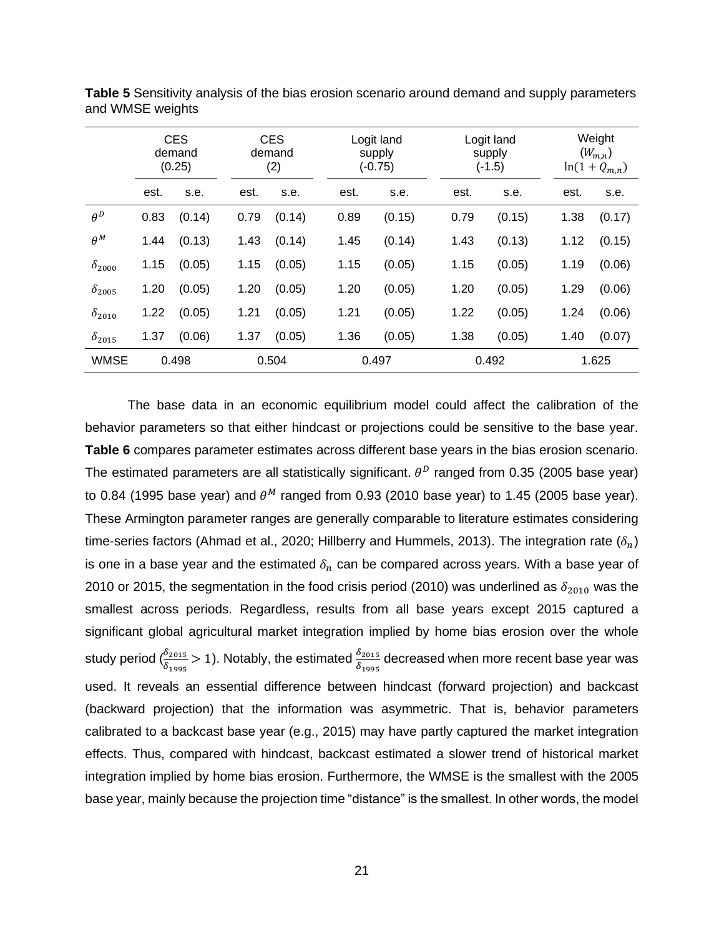|                        |      | <b>CES</b><br>demand<br>(0.25) |      | <b>CES</b><br>demand<br>(2) |      | Logit land<br>supply<br>$(-0.75)$ |      | Logit land<br>supply<br>$(-1.5)$ |      | Weight<br>$(W_{m,n})$<br>$ln(1 + Q_{m,n})$ |  |  |
|------------------------|------|--------------------------------|------|-----------------------------|------|-----------------------------------|------|----------------------------------|------|--------------------------------------------|--|--|
|                        | est. | s.e.                           | est. | s.e.                        | est. | s.e.                              | est. | s.e.                             | est. | s.e.                                       |  |  |
| $\theta^D$             | 0.83 | (0.14)                         | 0.79 | (0.14)                      | 0.89 | (0.15)                            | 0.79 | (0.15)                           | 1.38 | (0.17)                                     |  |  |
| $\theta^M$             | 1.44 | (0.13)                         | 1.43 | (0.14)                      | 1.45 | (0.14)                            | 1.43 | (0.13)                           | 1.12 | (0.15)                                     |  |  |
| $\delta_{2000}$        | 1.15 | (0.05)                         | 1.15 | (0.05)                      | 1.15 | (0.05)                            | 1.15 | (0.05)                           | 1.19 | (0.06)                                     |  |  |
| $\delta_{2005}$        | 1.20 | (0.05)                         | 1.20 | (0.05)                      | 1.20 | (0.05)                            | 1.20 | (0.05)                           | 1.29 | (0.06)                                     |  |  |
| $\delta_\mathrm{2010}$ | 1.22 | (0.05)                         | 1.21 | (0.05)                      | 1.21 | (0.05)                            | 1.22 | (0.05)                           | 1.24 | (0.06)                                     |  |  |
| $\delta_{2015}$        | 1.37 | (0.06)                         | 1.37 | (0.05)                      | 1.36 | (0.05)                            | 1.38 | (0.05)                           | 1.40 | (0.07)                                     |  |  |
| <b>WMSE</b>            |      | 0.498                          |      | 0.504                       |      | 0.497                             |      | 0.492                            |      | 1.625                                      |  |  |

**Table 5** Sensitivity analysis of the bias erosion scenario around demand and supply parameters and WMSE weights

The base data in an economic equilibrium model could affect the calibration of the behavior parameters so that either hindcast or projections could be sensitive to the base year. **Table 6** compares parameter estimates across different base years in the bias erosion scenario. The estimated parameters are all statistically significant.  $\theta^D$  ranged from 0.35 (2005 base year) to 0.84 (1995 base year) and  $\theta^M$  ranged from 0.93 (2010 base year) to 1.45 (2005 base year). These Armington parameter ranges are generally comparable to literature estimates considering time-series factors (Ahmad et al., 2020; Hillberry and Hummels, 2013). The integration rate ( $\delta_n$ ) is one in a base year and the estimated  $\delta_n$  can be compared across years. With a base year of 2010 or 2015, the segmentation in the food crisis period (2010) was underlined as  $\delta_{2010}$  was the smallest across periods. Regardless, results from all base years except 2015 captured a significant global agricultural market integration implied by home bias erosion over the whole study period ( $\frac{\delta_{2015}}{\delta_{1995}}$   $>$  1). Notably, the estimated  $\frac{\delta_{2015}}{\delta_{1995}}$  decreased when more recent base year was used. It reveals an essential difference between hindcast (forward projection) and backcast (backward projection) that the information was asymmetric. That is, behavior parameters calibrated to a backcast base year (e.g., 2015) may have partly captured the market integration effects. Thus, compared with hindcast, backcast estimated a slower trend of historical market integration implied by home bias erosion. Furthermore, the WMSE is the smallest with the 2005 base year, mainly because the projection time "distance" is the smallest. In other words, the model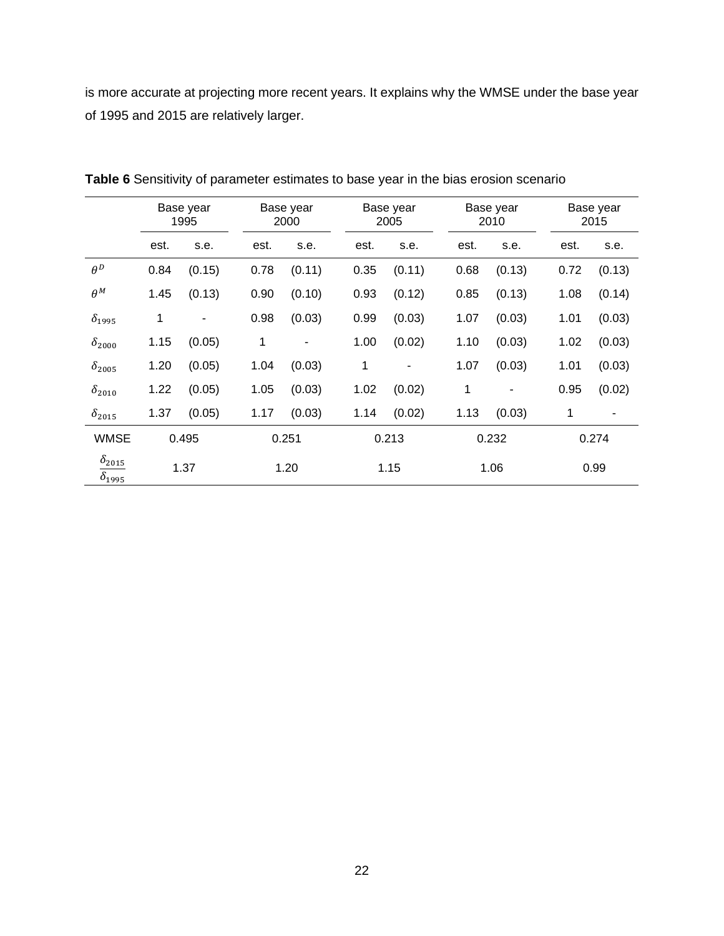is more accurate at projecting more recent years. It explains why the WMSE under the base year of 1995 and 2015 are relatively larger.

|                                    | Base year<br>1995 |        |      | Base year<br>2000 |  | Base year<br>2005 |                          |  | Base year<br>2010 |        |  | Base year<br>2015 |        |  |
|------------------------------------|-------------------|--------|------|-------------------|--|-------------------|--------------------------|--|-------------------|--------|--|-------------------|--------|--|
|                                    | est.              | s.e.   | est. | s.e.              |  | est.              | s.e.                     |  | est.              | s.e.   |  | est.              | s.e.   |  |
| $\theta^D$                         | 0.84              | (0.15) | 0.78 | (0.11)            |  | 0.35              | (0.11)                   |  | 0.68              | (0.13) |  | 0.72              | (0.13) |  |
| $\theta^M$                         | 1.45              | (0.13) | 0.90 | (0.10)            |  | 0.93              | (0.12)                   |  | 0.85              | (0.13) |  | 1.08              | (0.14) |  |
| $\delta_{1995}$                    | 1                 |        | 0.98 | (0.03)            |  | 0.99              | (0.03)                   |  | 1.07              | (0.03) |  | 1.01              | (0.03) |  |
| $\delta_{2000}$                    | 1.15              | (0.05) | 1    |                   |  | 1.00              | (0.02)                   |  | 1.10              | (0.03) |  | 1.02              | (0.03) |  |
| $\delta_{2005}$                    | 1.20              | (0.05) | 1.04 | (0.03)            |  | 1                 | $\overline{\phantom{a}}$ |  | 1.07              | (0.03) |  | 1.01              | (0.03) |  |
| $\delta_{2010}$                    | 1.22              | (0.05) | 1.05 | (0.03)            |  | 1.02              | (0.02)                   |  | 1                 | -      |  | 0.95              | (0.02) |  |
| $\delta_{2015}$                    | 1.37              | (0.05) | 1.17 | (0.03)            |  | 1.14              | (0.02)                   |  | 1.13              | (0.03) |  | 1                 |        |  |
| <b>WMSE</b>                        |                   | 0.495  |      | 0.251             |  | 0.213             |                          |  | 0.232             |        |  | 0.274             |        |  |
| $\delta_{2015}$<br>$\delta_{1995}$ |                   | 1.37   |      | 1.20              |  |                   | 1.15                     |  | 1.06              |        |  | 0.99              |        |  |

**Table 6** Sensitivity of parameter estimates to base year in the bias erosion scenario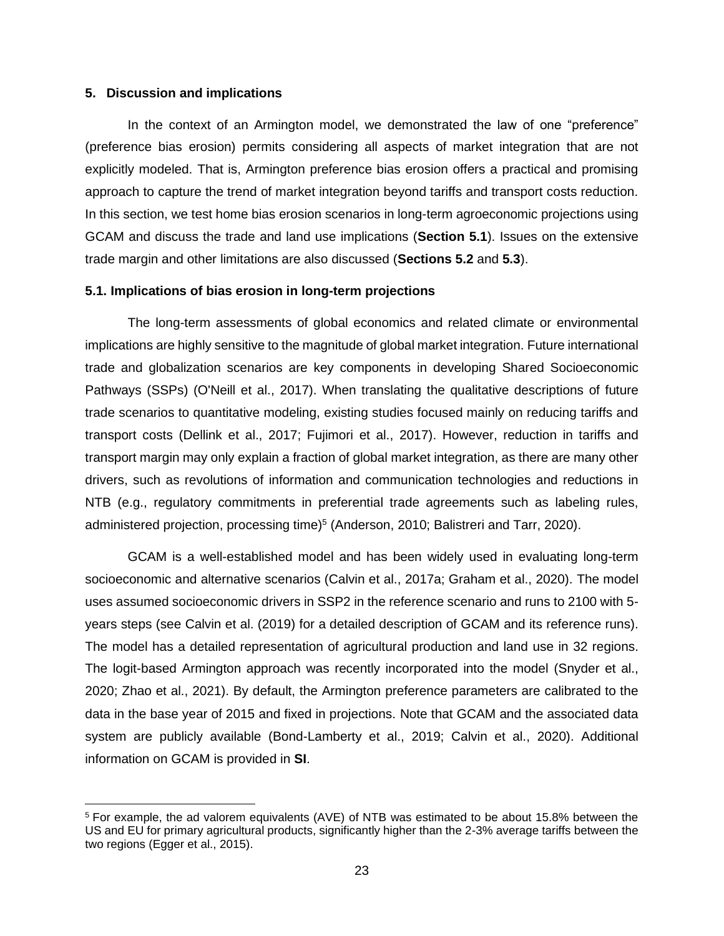### **5. Discussion and implications**

In the context of an Armington model, we demonstrated the law of one "preference" (preference bias erosion) permits considering all aspects of market integration that are not explicitly modeled. That is, Armington preference bias erosion offers a practical and promising approach to capture the trend of market integration beyond tariffs and transport costs reduction. In this section, we test home bias erosion scenarios in long-term agroeconomic projections using GCAM and discuss the trade and land use implications (**Section 5.1**). Issues on the extensive trade margin and other limitations are also discussed (**Sections 5.2** and **5.3**).

### **5.1. Implications of bias erosion in long-term projections**

The long-term assessments of global economics and related climate or environmental implications are highly sensitive to the magnitude of global market integration. Future international trade and globalization scenarios are key components in developing Shared Socioeconomic Pathways (SSPs) (O'Neill et al., 2017). When translating the qualitative descriptions of future trade scenarios to quantitative modeling, existing studies focused mainly on reducing tariffs and transport costs (Dellink et al., 2017; Fujimori et al., 2017). However, reduction in tariffs and transport margin may only explain a fraction of global market integration, as there are many other drivers, such as revolutions of information and communication technologies and reductions in NTB (e.g., regulatory commitments in preferential trade agreements such as labeling rules, administered projection, processing time)<sup>5</sup> (Anderson, 2010; Balistreri and Tarr, 2020).

GCAM is a well-established model and has been widely used in evaluating long-term socioeconomic and alternative scenarios (Calvin et al., 2017a; Graham et al., 2020). The model uses assumed socioeconomic drivers in SSP2 in the reference scenario and runs to 2100 with 5 years steps (see Calvin et al. (2019) for a detailed description of GCAM and its reference runs). The model has a detailed representation of agricultural production and land use in 32 regions. The logit-based Armington approach was recently incorporated into the model (Snyder et al., 2020; Zhao et al., 2021). By default, the Armington preference parameters are calibrated to the data in the base year of 2015 and fixed in projections. Note that GCAM and the associated data system are publicly available (Bond-Lamberty et al., 2019; Calvin et al., 2020). Additional information on GCAM is provided in **SI**.

<sup>5</sup> For example, the ad valorem equivalents (AVE) of NTB was estimated to be about 15.8% between the US and EU for primary agricultural products, significantly higher than the 2-3% average tariffs between the two regions (Egger et al., 2015).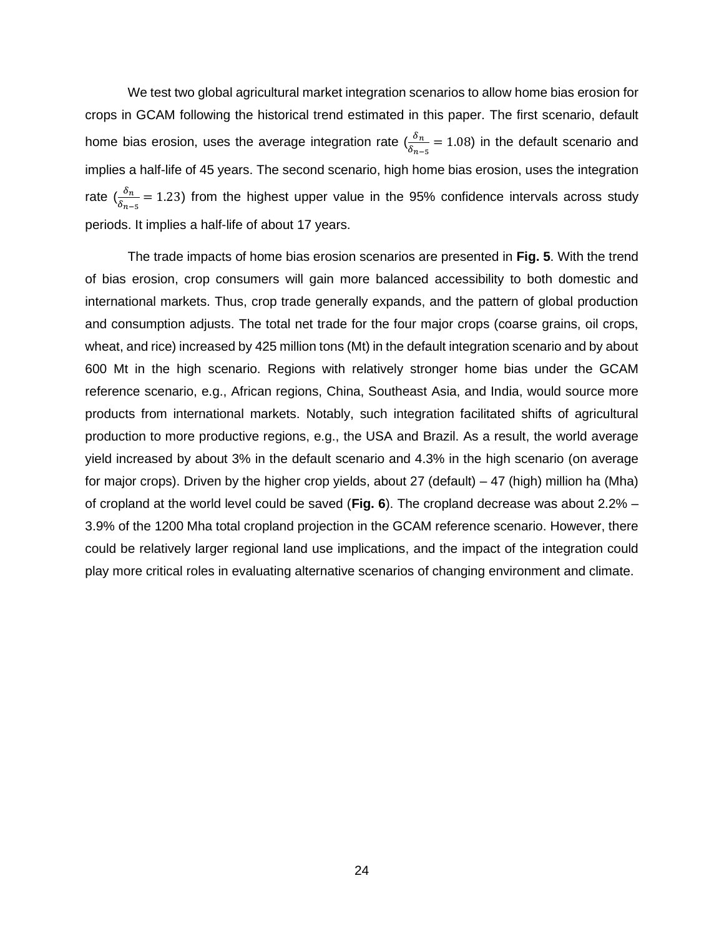We test two global agricultural market integration scenarios to allow home bias erosion for crops in GCAM following the historical trend estimated in this paper. The first scenario, default home bias erosion, uses the average integration rate  $(\frac{\delta_n}{\delta_{n-5}}=1.08)$  in the default scenario and implies a half-life of 45 years. The second scenario, high home bias erosion, uses the integration rate ( $\frac{\delta_n}{\delta_{n-5}}$  = 1.23) from the highest upper value in the 95% confidence intervals across study periods. It implies a half-life of about 17 years.

The trade impacts of home bias erosion scenarios are presented in **Fig. 5**. With the trend of bias erosion, crop consumers will gain more balanced accessibility to both domestic and international markets. Thus, crop trade generally expands, and the pattern of global production and consumption adjusts. The total net trade for the four major crops (coarse grains, oil crops, wheat, and rice) increased by 425 million tons (Mt) in the default integration scenario and by about 600 Mt in the high scenario. Regions with relatively stronger home bias under the GCAM reference scenario, e.g., African regions, China, Southeast Asia, and India, would source more products from international markets. Notably, such integration facilitated shifts of agricultural production to more productive regions, e.g., the USA and Brazil. As a result, the world average yield increased by about 3% in the default scenario and 4.3% in the high scenario (on average for major crops). Driven by the higher crop yields, about 27 (default) – 47 (high) million ha (Mha) of cropland at the world level could be saved (**Fig. 6**). The cropland decrease was about 2.2% – 3.9% of the 1200 Mha total cropland projection in the GCAM reference scenario. However, there could be relatively larger regional land use implications, and the impact of the integration could play more critical roles in evaluating alternative scenarios of changing environment and climate.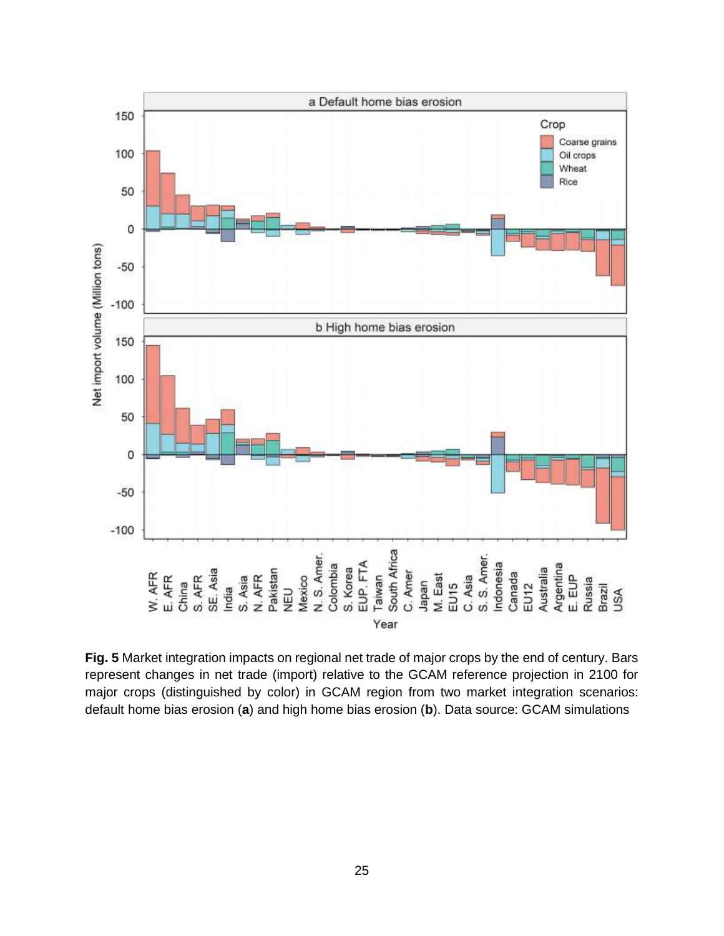

**Fig. 5** Market integration impacts on regional net trade of major crops by the end of century. Bars represent changes in net trade (import) relative to the GCAM reference projection in 2100 for major crops (distinguished by color) in GCAM region from two market integration scenarios: default home bias erosion (**a**) and high home bias erosion (**b**). Data source: GCAM simulations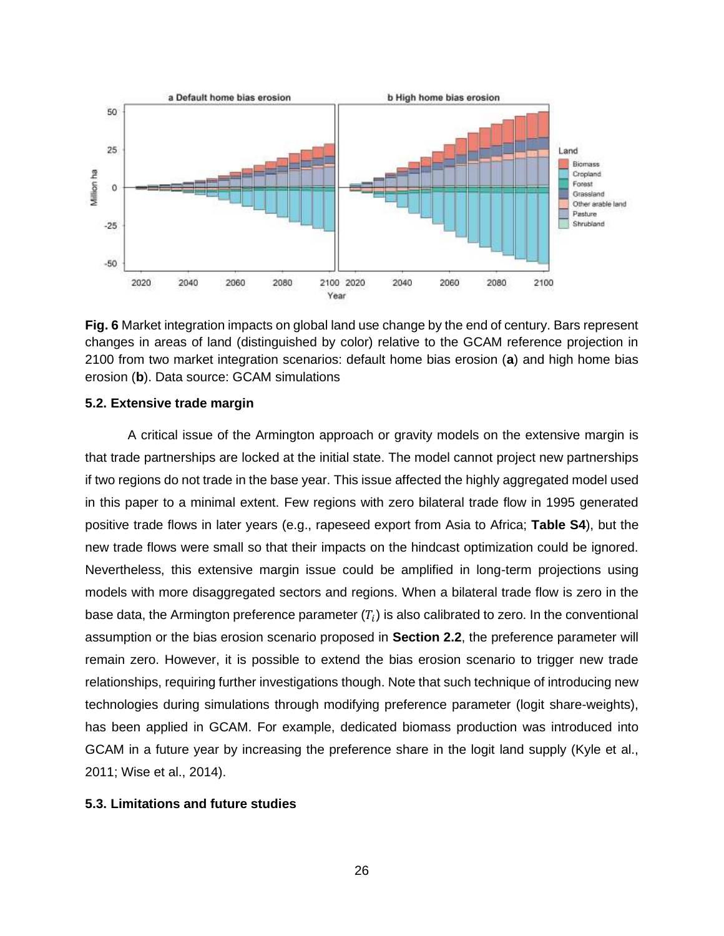

**Fig. 6** Market integration impacts on global land use change by the end of century. Bars represent changes in areas of land (distinguished by color) relative to the GCAM reference projection in 2100 from two market integration scenarios: default home bias erosion (**a**) and high home bias erosion (**b**). Data source: GCAM simulations

### **5.2. Extensive trade margin**

A critical issue of the Armington approach or gravity models on the extensive margin is that trade partnerships are locked at the initial state. The model cannot project new partnerships if two regions do not trade in the base year. This issue affected the highly aggregated model used in this paper to a minimal extent. Few regions with zero bilateral trade flow in 1995 generated positive trade flows in later years (e.g., rapeseed export from Asia to Africa; **Table S4**), but the new trade flows were small so that their impacts on the hindcast optimization could be ignored. Nevertheless, this extensive margin issue could be amplified in long-term projections using models with more disaggregated sectors and regions. When a bilateral trade flow is zero in the base data, the Armington preference parameter  $\left(T_{i}\right)$  is also calibrated to zero. In the conventional assumption or the bias erosion scenario proposed in **Section 2.2**, the preference parameter will remain zero. However, it is possible to extend the bias erosion scenario to trigger new trade relationships, requiring further investigations though. Note that such technique of introducing new technologies during simulations through modifying preference parameter (logit share-weights), has been applied in GCAM. For example, dedicated biomass production was introduced into GCAM in a future year by increasing the preference share in the logit land supply (Kyle et al., 2011; Wise et al., 2014).

#### **5.3. Limitations and future studies**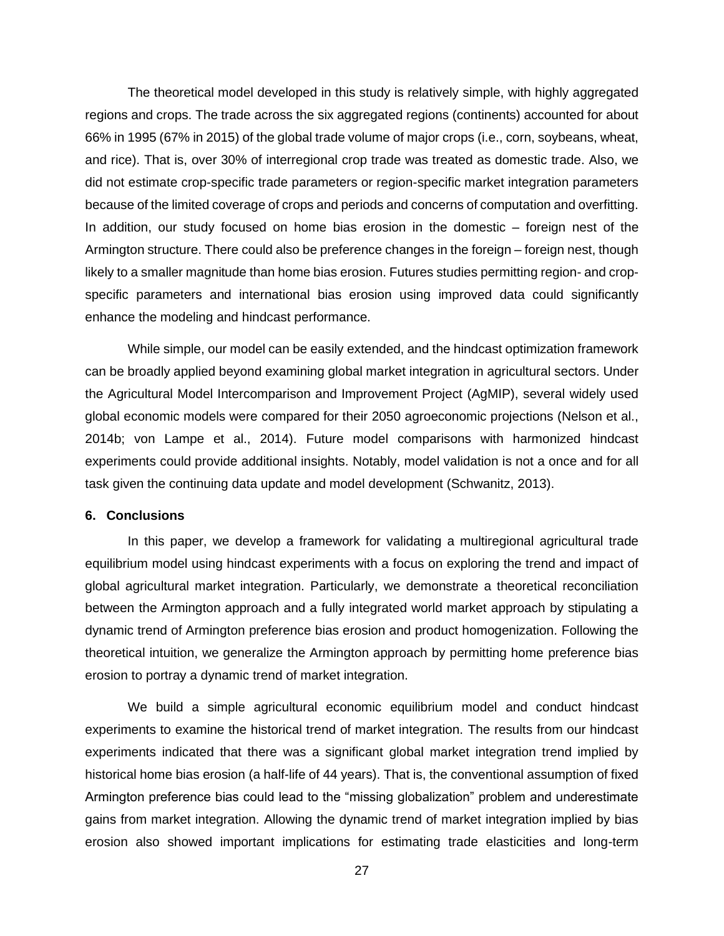The theoretical model developed in this study is relatively simple, with highly aggregated regions and crops. The trade across the six aggregated regions (continents) accounted for about 66% in 1995 (67% in 2015) of the global trade volume of major crops (i.e., corn, soybeans, wheat, and rice). That is, over 30% of interregional crop trade was treated as domestic trade. Also, we did not estimate crop-specific trade parameters or region-specific market integration parameters because of the limited coverage of crops and periods and concerns of computation and overfitting. In addition, our study focused on home bias erosion in the domestic – foreign nest of the Armington structure. There could also be preference changes in the foreign – foreign nest, though likely to a smaller magnitude than home bias erosion. Futures studies permitting region- and cropspecific parameters and international bias erosion using improved data could significantly enhance the modeling and hindcast performance.

While simple, our model can be easily extended, and the hindcast optimization framework can be broadly applied beyond examining global market integration in agricultural sectors. Under the Agricultural Model Intercomparison and Improvement Project (AgMIP), several widely used global economic models were compared for their 2050 agroeconomic projections (Nelson et al., 2014b; von Lampe et al., 2014). Future model comparisons with harmonized hindcast experiments could provide additional insights. Notably, model validation is not a once and for all task given the continuing data update and model development (Schwanitz, 2013).

### **6. Conclusions**

In this paper, we develop a framework for validating a multiregional agricultural trade equilibrium model using hindcast experiments with a focus on exploring the trend and impact of global agricultural market integration. Particularly, we demonstrate a theoretical reconciliation between the Armington approach and a fully integrated world market approach by stipulating a dynamic trend of Armington preference bias erosion and product homogenization. Following the theoretical intuition, we generalize the Armington approach by permitting home preference bias erosion to portray a dynamic trend of market integration.

We build a simple agricultural economic equilibrium model and conduct hindcast experiments to examine the historical trend of market integration. The results from our hindcast experiments indicated that there was a significant global market integration trend implied by historical home bias erosion (a half-life of 44 years). That is, the conventional assumption of fixed Armington preference bias could lead to the "missing globalization" problem and underestimate gains from market integration. Allowing the dynamic trend of market integration implied by bias erosion also showed important implications for estimating trade elasticities and long-term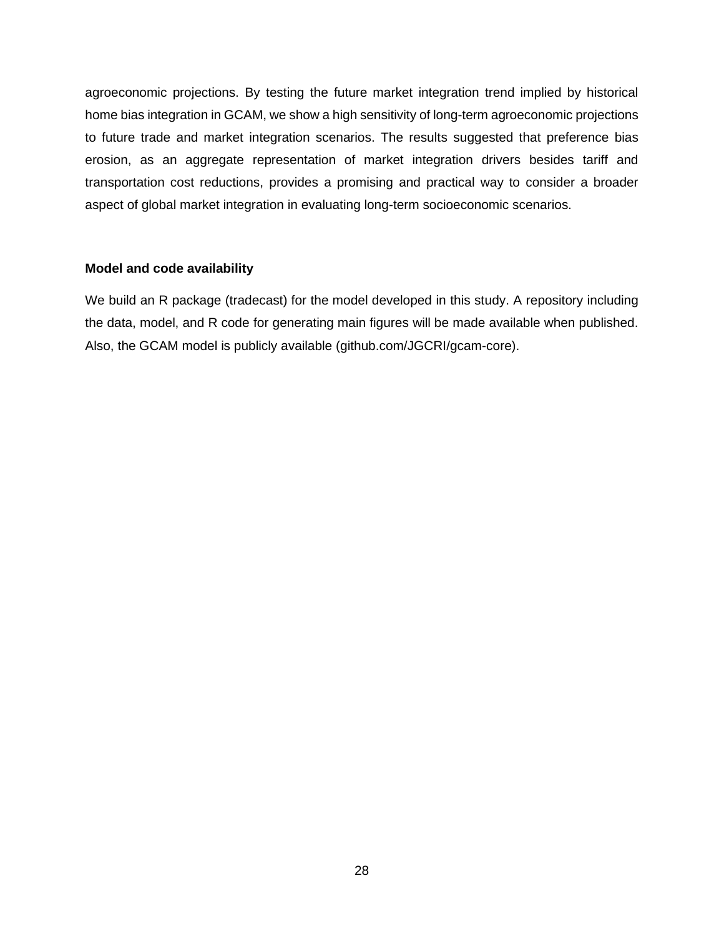agroeconomic projections. By testing the future market integration trend implied by historical home bias integration in GCAM, we show a high sensitivity of long-term agroeconomic projections to future trade and market integration scenarios. The results suggested that preference bias erosion, as an aggregate representation of market integration drivers besides tariff and transportation cost reductions, provides a promising and practical way to consider a broader aspect of global market integration in evaluating long-term socioeconomic scenarios.

### **Model and code availability**

We build an R package (tradecast) for the model developed in this study. A repository including the data, model, and R code for generating main figures will be made available when published. Also, the GCAM model is publicly available (github.com/JGCRI/gcam-core).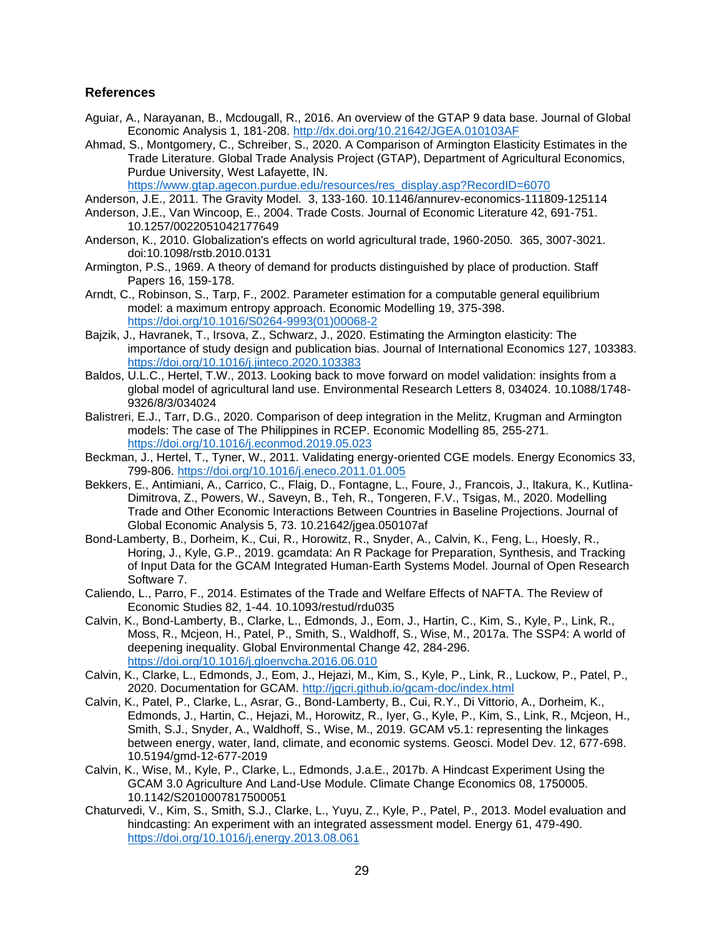#### **References**

- Aguiar, A., Narayanan, B., Mcdougall, R., 2016. An overview of the GTAP 9 data base. Journal of Global Economic Analysis 1, 181-208.<http://dx.doi.org/10.21642/JGEA.010103AF>
- Ahmad, S., Montgomery, C., Schreiber, S., 2020. A Comparison of Armington Elasticity Estimates in the Trade Literature. Global Trade Analysis Project (GTAP), Department of Agricultural Economics, Purdue University, West Lafayette, IN.

[https://www.gtap.agecon.purdue.edu/resources/res\\_display.asp?RecordID=6070](https://www.gtap.agecon.purdue.edu/resources/res_display.asp?RecordID=6070)

- Anderson, J.E., 2011. The Gravity Model. 3, 133-160. 10.1146/annurev-economics-111809-125114
- Anderson, J.E., Van Wincoop, E., 2004. Trade Costs. Journal of Economic Literature 42, 691-751. 10.1257/0022051042177649
- Anderson, K., 2010. Globalization's effects on world agricultural trade, 1960-2050. 365, 3007-3021. doi:10.1098/rstb.2010.0131
- Armington, P.S., 1969. A theory of demand for products distinguished by place of production. Staff Papers 16, 159-178.
- Arndt, C., Robinson, S., Tarp, F., 2002. Parameter estimation for a computable general equilibrium model: a maximum entropy approach. Economic Modelling 19, 375-398. [https://doi.org/10.1016/S0264-9993\(01\)00068-2](https://doi.org/10.1016/S0264-9993(01)00068-2)
- Bajzik, J., Havranek, T., Irsova, Z., Schwarz, J., 2020. Estimating the Armington elasticity: The importance of study design and publication bias. Journal of International Economics 127, 103383. <https://doi.org/10.1016/j.jinteco.2020.103383>
- Baldos, U.L.C., Hertel, T.W., 2013. Looking back to move forward on model validation: insights from a global model of agricultural land use. Environmental Research Letters 8, 034024. 10.1088/1748- 9326/8/3/034024
- Balistreri, E.J., Tarr, D.G., 2020. Comparison of deep integration in the Melitz, Krugman and Armington models: The case of The Philippines in RCEP. Economic Modelling 85, 255-271. <https://doi.org/10.1016/j.econmod.2019.05.023>
- Beckman, J., Hertel, T., Tyner, W., 2011. Validating energy-oriented CGE models. Energy Economics 33, 799-806.<https://doi.org/10.1016/j.eneco.2011.01.005>
- Bekkers, E., Antimiani, A., Carrico, C., Flaig, D., Fontagne, L., Foure, J., Francois, J., Itakura, K., Kutlina-Dimitrova, Z., Powers, W., Saveyn, B., Teh, R., Tongeren, F.V., Tsigas, M., 2020. Modelling Trade and Other Economic Interactions Between Countries in Baseline Projections. Journal of Global Economic Analysis 5, 73. 10.21642/jgea.050107af
- Bond-Lamberty, B., Dorheim, K., Cui, R., Horowitz, R., Snyder, A., Calvin, K., Feng, L., Hoesly, R., Horing, J., Kyle, G.P., 2019. gcamdata: An R Package for Preparation, Synthesis, and Tracking of Input Data for the GCAM Integrated Human-Earth Systems Model. Journal of Open Research Software 7.
- Caliendo, L., Parro, F., 2014. Estimates of the Trade and Welfare Effects of NAFTA. The Review of Economic Studies 82, 1-44. 10.1093/restud/rdu035
- Calvin, K., Bond-Lamberty, B., Clarke, L., Edmonds, J., Eom, J., Hartin, C., Kim, S., Kyle, P., Link, R., Moss, R., Mcjeon, H., Patel, P., Smith, S., Waldhoff, S., Wise, M., 2017a. The SSP4: A world of deepening inequality. Global Environmental Change 42, 284-296. <https://doi.org/10.1016/j.gloenvcha.2016.06.010>
- Calvin, K., Clarke, L., Edmonds, J., Eom, J., Hejazi, M., Kim, S., Kyle, P., Link, R., Luckow, P., Patel, P., 2020. Documentation for GCAM.<http://jgcri.github.io/gcam-doc/index.html>
- Calvin, K., Patel, P., Clarke, L., Asrar, G., Bond-Lamberty, B., Cui, R.Y., Di Vittorio, A., Dorheim, K., Edmonds, J., Hartin, C., Hejazi, M., Horowitz, R., Iyer, G., Kyle, P., Kim, S., Link, R., Mcjeon, H., Smith, S.J., Snyder, A., Waldhoff, S., Wise, M., 2019. GCAM v5.1: representing the linkages between energy, water, land, climate, and economic systems. Geosci. Model Dev. 12, 677-698. 10.5194/gmd-12-677-2019
- Calvin, K., Wise, M., Kyle, P., Clarke, L., Edmonds, J.a.E., 2017b. A Hindcast Experiment Using the GCAM 3.0 Agriculture And Land-Use Module. Climate Change Economics 08, 1750005. 10.1142/S2010007817500051
- Chaturvedi, V., Kim, S., Smith, S.J., Clarke, L., Yuyu, Z., Kyle, P., Patel, P., 2013. Model evaluation and hindcasting: An experiment with an integrated assessment model. Energy 61, 479-490. <https://doi.org/10.1016/j.energy.2013.08.061>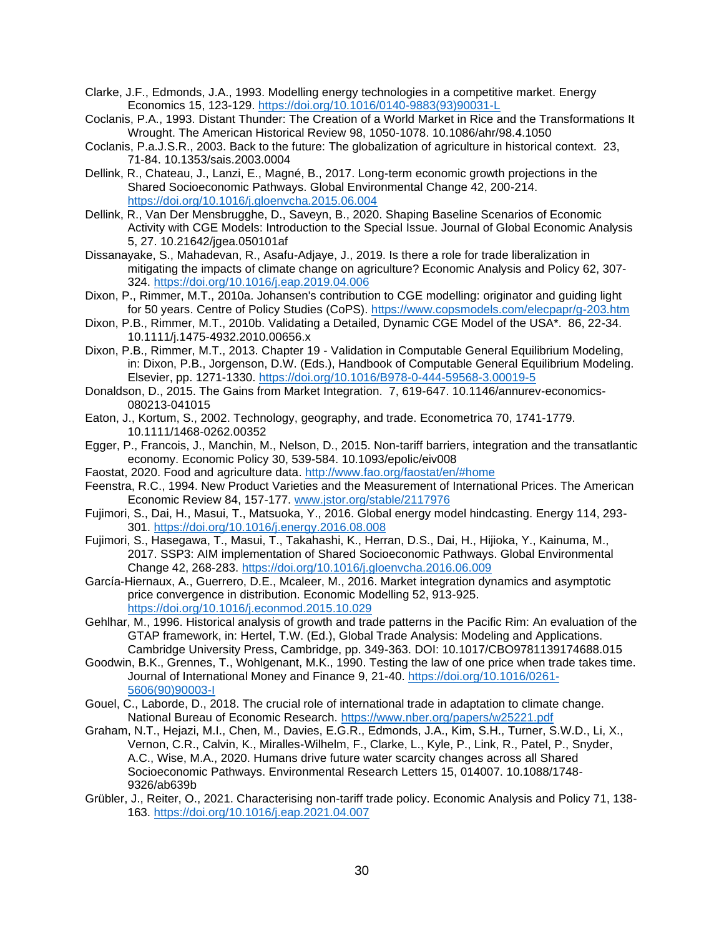- Clarke, J.F., Edmonds, J.A., 1993. Modelling energy technologies in a competitive market. Energy Economics 15, 123-129. [https://doi.org/10.1016/0140-9883\(93\)90031-L](https://doi.org/10.1016/0140-9883(93)90031-L)
- Coclanis, P.A., 1993. Distant Thunder: The Creation of a World Market in Rice and the Transformations It Wrought. The American Historical Review 98, 1050-1078. 10.1086/ahr/98.4.1050
- Coclanis, P.a.J.S.R., 2003. Back to the future: The globalization of agriculture in historical context. 23, 71-84. 10.1353/sais.2003.0004
- Dellink, R., Chateau, J., Lanzi, E., Magné, B., 2017. Long-term economic growth projections in the Shared Socioeconomic Pathways. Global Environmental Change 42, 200-214. <https://doi.org/10.1016/j.gloenvcha.2015.06.004>
- Dellink, R., Van Der Mensbrugghe, D., Saveyn, B., 2020. Shaping Baseline Scenarios of Economic Activity with CGE Models: Introduction to the Special Issue. Journal of Global Economic Analysis 5, 27. 10.21642/jgea.050101af
- Dissanayake, S., Mahadevan, R., Asafu-Adjaye, J., 2019. Is there a role for trade liberalization in mitigating the impacts of climate change on agriculture? Economic Analysis and Policy 62, 307- 324.<https://doi.org/10.1016/j.eap.2019.04.006>
- Dixon, P., Rimmer, M.T., 2010a. Johansen's contribution to CGE modelling: originator and guiding light for 50 years. Centre of Policy Studies (CoPS).<https://www.copsmodels.com/elecpapr/g-203.htm>
- Dixon, P.B., Rimmer, M.T., 2010b. Validating a Detailed, Dynamic CGE Model of the USA\*. 86, 22-34. 10.1111/j.1475-4932.2010.00656.x
- Dixon, P.B., Rimmer, M.T., 2013. Chapter 19 Validation in Computable General Equilibrium Modeling, in: Dixon, P.B., Jorgenson, D.W. (Eds.), Handbook of Computable General Equilibrium Modeling. Elsevier, pp. 1271-1330.<https://doi.org/10.1016/B978-0-444-59568-3.00019-5>
- Donaldson, D., 2015. The Gains from Market Integration. 7, 619-647. 10.1146/annurev-economics-080213-041015
- Eaton, J., Kortum, S., 2002. Technology, geography, and trade. Econometrica 70, 1741-1779. 10.1111/1468-0262.00352
- Egger, P., Francois, J., Manchin, M., Nelson, D., 2015. Non-tariff barriers, integration and the transatlantic economy. Economic Policy 30, 539-584. 10.1093/epolic/eiv008
- Faostat, 2020. Food and agriculture data.<http://www.fao.org/faostat/en/#home>
- Feenstra, R.C., 1994. New Product Varieties and the Measurement of International Prices. The American Economic Review 84, 157-177.<www.jstor.org/stable/2117976>
- Fujimori, S., Dai, H., Masui, T., Matsuoka, Y., 2016. Global energy model hindcasting. Energy 114, 293- 301.<https://doi.org/10.1016/j.energy.2016.08.008>
- Fujimori, S., Hasegawa, T., Masui, T., Takahashi, K., Herran, D.S., Dai, H., Hijioka, Y., Kainuma, M., 2017. SSP3: AIM implementation of Shared Socioeconomic Pathways. Global Environmental Change 42, 268-283.<https://doi.org/10.1016/j.gloenvcha.2016.06.009>
- García-Hiernaux, A., Guerrero, D.E., Mcaleer, M., 2016. Market integration dynamics and asymptotic price convergence in distribution. Economic Modelling 52, 913-925. <https://doi.org/10.1016/j.econmod.2015.10.029>
- Gehlhar, M., 1996. Historical analysis of growth and trade patterns in the Pacific Rim: An evaluation of the GTAP framework, in: Hertel, T.W. (Ed.), Global Trade Analysis: Modeling and Applications. Cambridge University Press, Cambridge, pp. 349-363. DOI: 10.1017/CBO9781139174688.015
- Goodwin, B.K., Grennes, T., Wohlgenant, M.K., 1990. Testing the law of one price when trade takes time. Journal of International Money and Finance 9, 21-40. [https://doi.org/10.1016/0261-](https://doi.org/10.1016/0261-5606(90)90003-I) [5606\(90\)90003-I](https://doi.org/10.1016/0261-5606(90)90003-I)
- Gouel, C., Laborde, D., 2018. The crucial role of international trade in adaptation to climate change. National Bureau of Economic Research.<https://www.nber.org/papers/w25221.pdf>
- Graham, N.T., Hejazi, M.I., Chen, M., Davies, E.G.R., Edmonds, J.A., Kim, S.H., Turner, S.W.D., Li, X., Vernon, C.R., Calvin, K., Miralles-Wilhelm, F., Clarke, L., Kyle, P., Link, R., Patel, P., Snyder, A.C., Wise, M.A., 2020. Humans drive future water scarcity changes across all Shared Socioeconomic Pathways. Environmental Research Letters 15, 014007. 10.1088/1748- 9326/ab639b
- Grübler, J., Reiter, O., 2021. Characterising non-tariff trade policy. Economic Analysis and Policy 71, 138- 163.<https://doi.org/10.1016/j.eap.2021.04.007>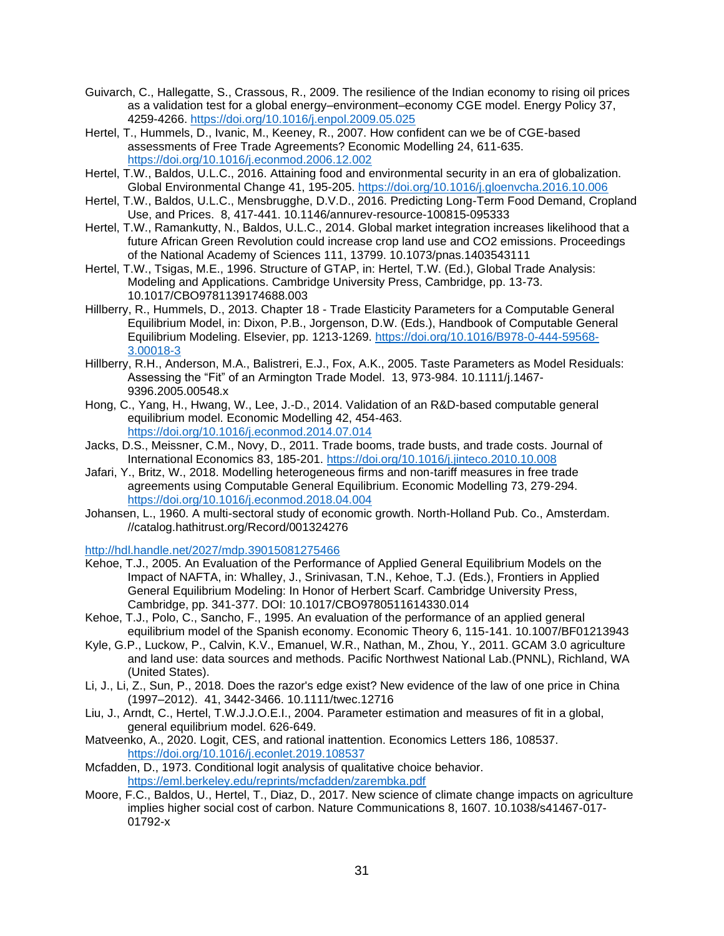- Guivarch, C., Hallegatte, S., Crassous, R., 2009. The resilience of the Indian economy to rising oil prices as a validation test for a global energy–environment–economy CGE model. Energy Policy 37, 4259-4266.<https://doi.org/10.1016/j.enpol.2009.05.025>
- Hertel, T., Hummels, D., Ivanic, M., Keeney, R., 2007. How confident can we be of CGE-based assessments of Free Trade Agreements? Economic Modelling 24, 611-635. <https://doi.org/10.1016/j.econmod.2006.12.002>
- Hertel, T.W., Baldos, U.L.C., 2016. Attaining food and environmental security in an era of globalization. Global Environmental Change 41, 195-205.<https://doi.org/10.1016/j.gloenvcha.2016.10.006>
- Hertel, T.W., Baldos, U.L.C., Mensbrugghe, D.V.D., 2016. Predicting Long-Term Food Demand, Cropland Use, and Prices. 8, 417-441. 10.1146/annurev-resource-100815-095333
- Hertel, T.W., Ramankutty, N., Baldos, U.L.C., 2014. Global market integration increases likelihood that a future African Green Revolution could increase crop land use and CO2 emissions. Proceedings of the National Academy of Sciences 111, 13799. 10.1073/pnas.1403543111
- Hertel, T.W., Tsigas, M.E., 1996. Structure of GTAP, in: Hertel, T.W. (Ed.), Global Trade Analysis: Modeling and Applications. Cambridge University Press, Cambridge, pp. 13-73. 10.1017/CBO9781139174688.003
- Hillberry, R., Hummels, D., 2013. Chapter 18 Trade Elasticity Parameters for a Computable General Equilibrium Model, in: Dixon, P.B., Jorgenson, D.W. (Eds.), Handbook of Computable General Equilibrium Modeling. Elsevier, pp. 1213-1269. [https://doi.org/10.1016/B978-0-444-59568-](https://doi.org/10.1016/B978-0-444-59568-3.00018-3) [3.00018-3](https://doi.org/10.1016/B978-0-444-59568-3.00018-3)
- Hillberry, R.H., Anderson, M.A., Balistreri, E.J., Fox, A.K., 2005. Taste Parameters as Model Residuals: Assessing the "Fit" of an Armington Trade Model. 13, 973-984. 10.1111/j.1467- 9396.2005.00548.x
- Hong, C., Yang, H., Hwang, W., Lee, J.-D., 2014. Validation of an R&D-based computable general equilibrium model. Economic Modelling 42, 454-463. <https://doi.org/10.1016/j.econmod.2014.07.014>
- Jacks, D.S., Meissner, C.M., Novy, D., 2011. Trade booms, trade busts, and trade costs. Journal of International Economics 83, 185-201.<https://doi.org/10.1016/j.jinteco.2010.10.008>
- Jafari, Y., Britz, W., 2018. Modelling heterogeneous firms and non-tariff measures in free trade agreements using Computable General Equilibrium. Economic Modelling 73, 279-294. <https://doi.org/10.1016/j.econmod.2018.04.004>
- Johansen, L., 1960. A multi-sectoral study of economic growth. North-Holland Pub. Co., Amsterdam. //catalog.hathitrust.org/Record/001324276

<http://hdl.handle.net/2027/mdp.39015081275466>

- Kehoe, T.J., 2005. An Evaluation of the Performance of Applied General Equilibrium Models on the Impact of NAFTA, in: Whalley, J., Srinivasan, T.N., Kehoe, T.J. (Eds.), Frontiers in Applied General Equilibrium Modeling: In Honor of Herbert Scarf. Cambridge University Press, Cambridge, pp. 341-377. DOI: 10.1017/CBO9780511614330.014
- Kehoe, T.J., Polo, C., Sancho, F., 1995. An evaluation of the performance of an applied general equilibrium model of the Spanish economy. Economic Theory 6, 115-141. 10.1007/BF01213943
- Kyle, G.P., Luckow, P., Calvin, K.V., Emanuel, W.R., Nathan, M., Zhou, Y., 2011. GCAM 3.0 agriculture and land use: data sources and methods. Pacific Northwest National Lab.(PNNL), Richland, WA (United States).
- Li, J., Li, Z., Sun, P., 2018. Does the razor's edge exist? New evidence of the law of one price in China (1997–2012). 41, 3442-3466. 10.1111/twec.12716
- Liu, J., Arndt, C., Hertel, T.W.J.J.O.E.I., 2004. Parameter estimation and measures of fit in a global, general equilibrium model. 626-649.
- Matveenko, A., 2020. Logit, CES, and rational inattention. Economics Letters 186, 108537. <https://doi.org/10.1016/j.econlet.2019.108537>
- Mcfadden, D., 1973. Conditional logit analysis of qualitative choice behavior. <https://eml.berkeley.edu/reprints/mcfadden/zarembka.pdf>
- Moore, F.C., Baldos, U., Hertel, T., Diaz, D., 2017. New science of climate change impacts on agriculture implies higher social cost of carbon. Nature Communications 8, 1607. 10.1038/s41467-017- 01792-x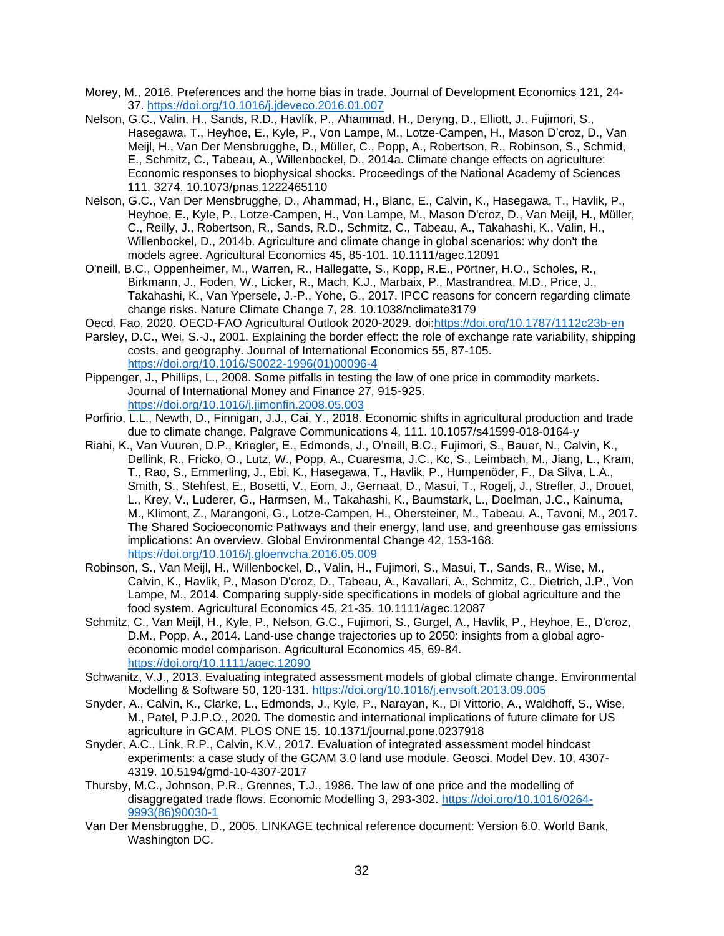- Morey, M., 2016. Preferences and the home bias in trade. Journal of Development Economics 121, 24- 37.<https://doi.org/10.1016/j.jdeveco.2016.01.007>
- Nelson, G.C., Valin, H., Sands, R.D., Havlík, P., Ahammad, H., Deryng, D., Elliott, J., Fujimori, S., Hasegawa, T., Heyhoe, E., Kyle, P., Von Lampe, M., Lotze-Campen, H., Mason D'croz, D., Van Meijl, H., Van Der Mensbrugghe, D., Müller, C., Popp, A., Robertson, R., Robinson, S., Schmid, E., Schmitz, C., Tabeau, A., Willenbockel, D., 2014a. Climate change effects on agriculture: Economic responses to biophysical shocks. Proceedings of the National Academy of Sciences 111, 3274. 10.1073/pnas.1222465110
- Nelson, G.C., Van Der Mensbrugghe, D., Ahammad, H., Blanc, E., Calvin, K., Hasegawa, T., Havlik, P., Heyhoe, E., Kyle, P., Lotze-Campen, H., Von Lampe, M., Mason D'croz, D., Van Meijl, H., Müller, C., Reilly, J., Robertson, R., Sands, R.D., Schmitz, C., Tabeau, A., Takahashi, K., Valin, H., Willenbockel, D., 2014b. Agriculture and climate change in global scenarios: why don't the models agree. Agricultural Economics 45, 85-101. 10.1111/agec.12091
- O'neill, B.C., Oppenheimer, M., Warren, R., Hallegatte, S., Kopp, R.E., Pörtner, H.O., Scholes, R., Birkmann, J., Foden, W., Licker, R., Mach, K.J., Marbaix, P., Mastrandrea, M.D., Price, J., Takahashi, K., Van Ypersele, J.-P., Yohe, G., 2017. IPCC reasons for concern regarding climate change risks. Nature Climate Change 7, 28. 10.1038/nclimate3179
- Oecd, Fao, 2020. OECD-FAO Agricultural Outlook 2020-2029. doi[:https://doi.org/10.1787/1112c23b-en](https://doi.org/10.1787/1112c23b-en)
- Parsley, D.C., Wei, S.-J., 2001. Explaining the border effect: the role of exchange rate variability, shipping costs, and geography. Journal of International Economics 55, 87-105. [https://doi.org/10.1016/S0022-1996\(01\)00096-4](https://doi.org/10.1016/S0022-1996(01)00096-4)
- Pippenger, J., Phillips, L., 2008. Some pitfalls in testing the law of one price in commodity markets. Journal of International Money and Finance 27, 915-925. <https://doi.org/10.1016/j.jimonfin.2008.05.003>
- Porfirio, L.L., Newth, D., Finnigan, J.J., Cai, Y., 2018. Economic shifts in agricultural production and trade due to climate change. Palgrave Communications 4, 111. 10.1057/s41599-018-0164-y
- Riahi, K., Van Vuuren, D.P., Kriegler, E., Edmonds, J., O'neill, B.C., Fujimori, S., Bauer, N., Calvin, K., Dellink, R., Fricko, O., Lutz, W., Popp, A., Cuaresma, J.C., Kc, S., Leimbach, M., Jiang, L., Kram, T., Rao, S., Emmerling, J., Ebi, K., Hasegawa, T., Havlik, P., Humpenöder, F., Da Silva, L.A., Smith, S., Stehfest, E., Bosetti, V., Eom, J., Gernaat, D., Masui, T., Rogelj, J., Strefler, J., Drouet, L., Krey, V., Luderer, G., Harmsen, M., Takahashi, K., Baumstark, L., Doelman, J.C., Kainuma, M., Klimont, Z., Marangoni, G., Lotze-Campen, H., Obersteiner, M., Tabeau, A., Tavoni, M., 2017. The Shared Socioeconomic Pathways and their energy, land use, and greenhouse gas emissions implications: An overview. Global Environmental Change 42, 153-168. <https://doi.org/10.1016/j.gloenvcha.2016.05.009>
- Robinson, S., Van Meijl, H., Willenbockel, D., Valin, H., Fujimori, S., Masui, T., Sands, R., Wise, M., Calvin, K., Havlik, P., Mason D'croz, D., Tabeau, A., Kavallari, A., Schmitz, C., Dietrich, J.P., Von Lampe, M., 2014. Comparing supply-side specifications in models of global agriculture and the food system. Agricultural Economics 45, 21-35. 10.1111/agec.12087
- Schmitz, C., Van Meijl, H., Kyle, P., Nelson, G.C., Fujimori, S., Gurgel, A., Havlik, P., Heyhoe, E., D'croz, D.M., Popp, A., 2014. Land-use change trajectories up to 2050: insights from a global agroeconomic model comparison. Agricultural Economics 45, 69-84. <https://doi.org/10.1111/agec.12090>
- Schwanitz, V.J., 2013. Evaluating integrated assessment models of global climate change. Environmental Modelling & Software 50, 120-131.<https://doi.org/10.1016/j.envsoft.2013.09.005>
- Snyder, A., Calvin, K., Clarke, L., Edmonds, J., Kyle, P., Narayan, K., Di Vittorio, A., Waldhoff, S., Wise, M., Patel, P.J.P.O., 2020. The domestic and international implications of future climate for US agriculture in GCAM. PLOS ONE 15. 10.1371/journal.pone.0237918
- Snyder, A.C., Link, R.P., Calvin, K.V., 2017. Evaluation of integrated assessment model hindcast experiments: a case study of the GCAM 3.0 land use module. Geosci. Model Dev. 10, 4307- 4319. 10.5194/gmd-10-4307-2017
- Thursby, M.C., Johnson, P.R., Grennes, T.J., 1986. The law of one price and the modelling of disaggregated trade flows. Economic Modelling 3, 293-302. [https://doi.org/10.1016/0264-](https://doi.org/10.1016/0264-9993(86)90030-1) [9993\(86\)90030-1](https://doi.org/10.1016/0264-9993(86)90030-1)
- Van Der Mensbrugghe, D., 2005. LINKAGE technical reference document: Version 6.0. World Bank, Washington DC.